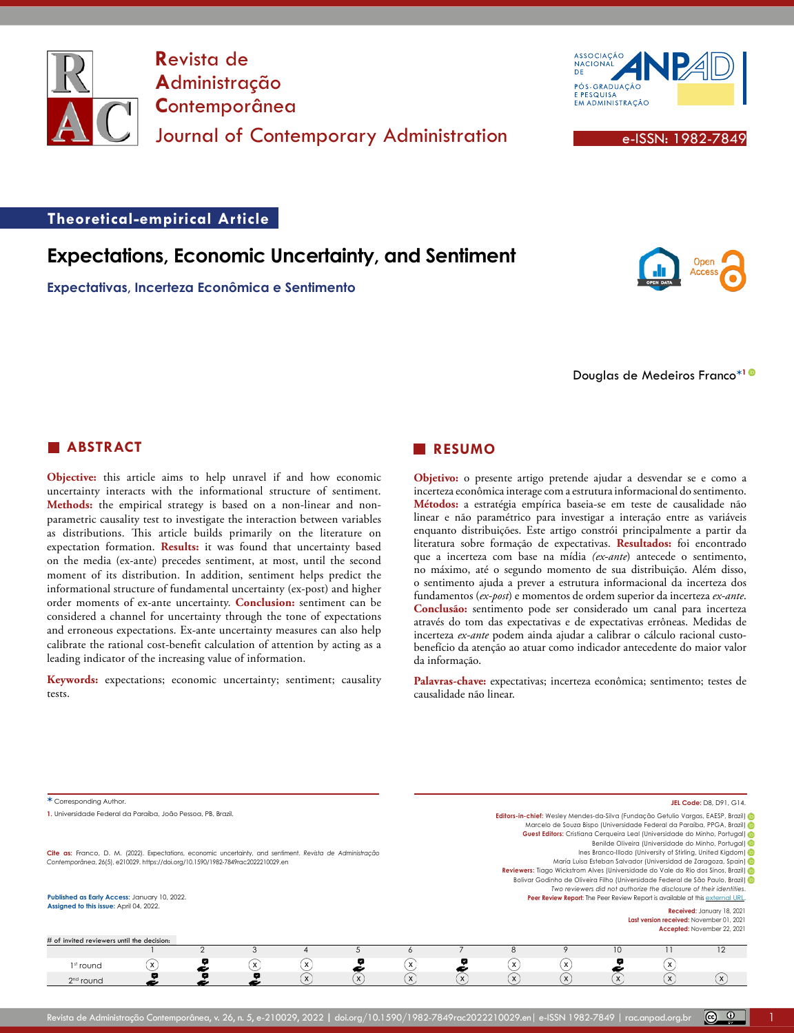

**R**evista de **A**dministração **C**ontemporânea Journal of Contemporary Administration **Executive Contemporary Administration** 



# **Theoretical-empirical Article**

# **Expectations, Economic Uncertainty, and Sentiment**

**Expectativas, Incerteza Econômica e Sentimento**



Douglas de Medeiros Franco**\*[1](https://orcid.org/0000-0001-5674-5106)**

## **ABSTRACT**

**Objective:** this article aims to help unravel if and how economic uncertainty interacts with the informational structure of sentiment. **Methods:** the empirical strategy is based on a non-linear and nonparametric causality test to investigate the interaction between variables as distributions. This article builds primarily on the literature on expectation formation. **Results:** it was found that uncertainty based on the media (ex-ante) precedes sentiment, at most, until the second moment of its distribution. In addition, sentiment helps predict the informational structure of fundamental uncertainty (ex-post) and higher order moments of ex-ante uncertainty. **Conclusion:** sentiment can be considered a channel for uncertainty through the tone of expectations and erroneous expectations. Ex-ante uncertainty measures can also help calibrate the rational cost-benefit calculation of attention by acting as a leading indicator of the increasing value of information.

**Keywords:** expectations; economic uncertainty; sentiment; causality tests.

## **RESUMO**

**Objetivo:** o presente artigo pretende ajudar a desvendar se e como a incerteza econômica interage com a estrutura informacional do sentimento. **Métodos:** a estratégia empírica baseia-se em teste de causalidade não linear e não paramétrico para investigar a interação entre as variáveis enquanto distribuições. Este artigo constrói principalmente a partir da literatura sobre formação de expectativas. **Resultados:** foi encontrado que a incerteza com base na mídia *(ex-ante*) antecede o sentimento, no máximo, até o segundo momento de sua distribuição. Além disso, o sentimento ajuda a prever a estrutura informacional da incerteza dos fundamentos (*ex-post*) e momentos de ordem superior da incerteza *ex-ante*. **Conclusão:** sentimento pode ser considerado um canal para incerteza através do tom das expectativas e de expectativas errôneas. Medidas de incerteza *ex-ante* podem ainda ajudar a calibrar o cálculo racional custobenefício da atenção ao atuar como indicador antecedente do maior valor da informação.

Palavras-chave: expectativas; incerteza econômica; sentimento; testes de causalidade não linear.

| * Corresponding Author.                                                                                                                                                                        |                              | JEL Code: D8, D91, G14,                                                                                                                                                                                                                                                                                  |              |                                                                               |          |                                                                     |                                                                                                                                                                                                                                                                                                              |                           |
|------------------------------------------------------------------------------------------------------------------------------------------------------------------------------------------------|------------------------------|----------------------------------------------------------------------------------------------------------------------------------------------------------------------------------------------------------------------------------------------------------------------------------------------------------|--------------|-------------------------------------------------------------------------------|----------|---------------------------------------------------------------------|--------------------------------------------------------------------------------------------------------------------------------------------------------------------------------------------------------------------------------------------------------------------------------------------------------------|---------------------------|
| 1. Universidade Federal da Paraíba, João Pessoa, PB, Brazil.                                                                                                                                   |                              | Editors-in-chief: Wesley Mendes-da-Silva (Fundação Getulio Vargas, EAESP, Brazil) de<br>Marcelo de Souza Bispo (Universidade Federal da Paraíba, PPGA, Brazil) de<br>Guest Editors: Cristiana Cerqueira Leal (Universidade do Minho, Portugal)<br>Benilde Oliveira (Universidade do Minho, Portugal) (in |              |                                                                               |          |                                                                     |                                                                                                                                                                                                                                                                                                              |                           |
| Cite as: Franco, D. M. (2022). Expectations, economic uncertainty, and sentiment. Revista de Administração<br>Contemporânea, 26(5), e210029. https://doi.org/10.1590/1982-7849rac2022210029.en |                              |                                                                                                                                                                                                                                                                                                          |              |                                                                               |          | Two reviewers did not authorize the disclosure of their identities. | Ines Branco-Illodo (University of Stirling, United Kigdom) (iii)<br>María Luisa Esteban Salvador (Universidad de Zaragoza, Spain) (in<br>Reviewers: Tiago Wickstrom Alves (Universidade do Vale do Rio dos Sinos, Brazil)<br>Bolivar Godinho de Oliveira Filho (Universidade Federal de São Paulo, Brazil) O |                           |
| Published as Early Access: January 10, 2022.<br>Assigned to this issue: April 04, 2022.<br># of invited reviewers until the decision:                                                          |                              |                                                                                                                                                                                                                                                                                                          |              | Peer Review Report: The Peer Review Report is available at this external URL. |          | Last version received: November 01, 2021                            | Received: January 18, 2021<br>Accepted: November 22, 2021                                                                                                                                                                                                                                                    |                           |
|                                                                                                                                                                                                |                              |                                                                                                                                                                                                                                                                                                          |              | 8                                                                             |          | 10                                                                  |                                                                                                                                                                                                                                                                                                              | 12                        |
| $\mathbf{x}$<br>EX.<br>1 <sup>st</sup> round                                                                                                                                                   | $\mathsf{x}$                 | $\mathsf{x}$                                                                                                                                                                                                                                                                                             |              | $\mathsf{x}$                                                                  | x        |                                                                     | X                                                                                                                                                                                                                                                                                                            |                           |
| $2nd$ round                                                                                                                                                                                    | $\mathsf{x}$<br>$\mathsf{x}$ | $\mathbf{x}$                                                                                                                                                                                                                                                                                             | $\mathsf{x}$ | $\boldsymbol{\mathsf{x}}$                                                     | $\times$ | ίx                                                                  | $\mathsf{X}$                                                                                                                                                                                                                                                                                                 | $\boldsymbol{\mathsf{x}}$ |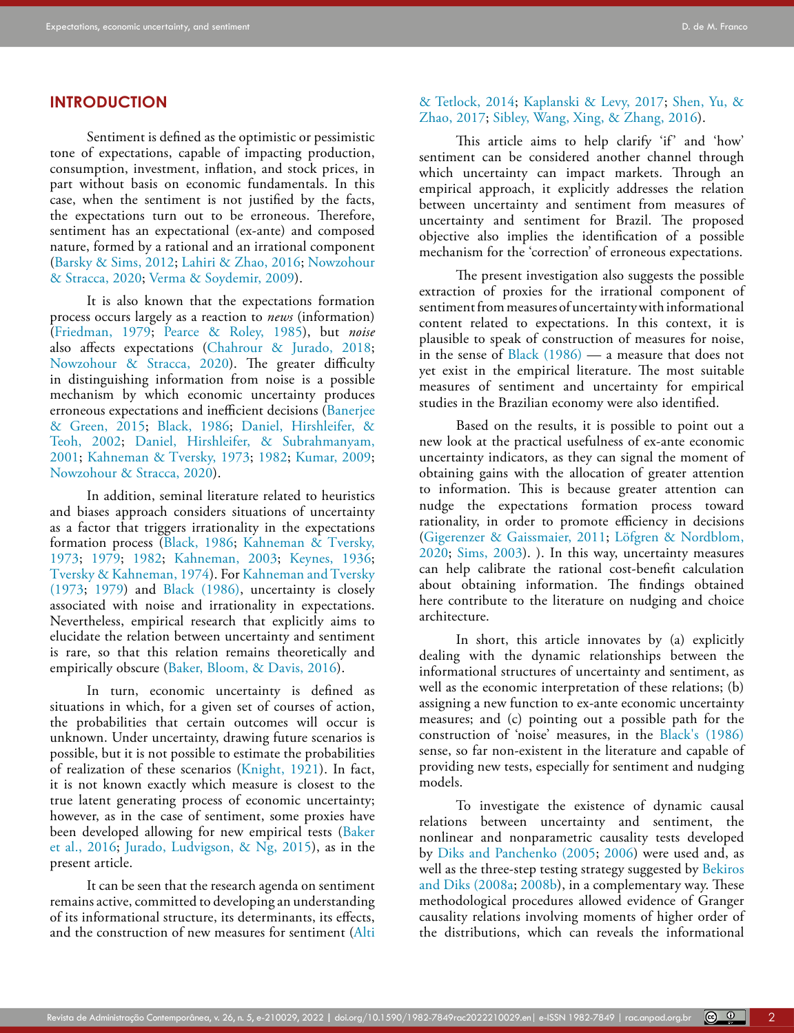## **INTRODUCTION**

Sentiment is defined as the optimistic or pessimistic tone of expectations, capable of impacting production, consumption, investment, inflation, and stock prices, in part without basis on economic fundamentals. In this case, when the sentiment is not justified by the facts, the expectations turn out to be erroneous. Therefore, sentiment has an expectational (ex-ante) and composed nature, formed by a rational and an irrational component ([Barsky & Sims, 2012;](#page-14-0) [Lahiri & Zhao, 2016;](#page-15-0) Nowzohour & Stracca, 2020; Verma & Soydemir, 2009).

It is also known that the expectations formation process occurs largely as a reaction to *news* (information) ([Friedman, 1979;](#page-15-1) Pearce & Roley, 1985), but *noise* also affects expectations ([Chahrour & Jurado, 2018;](#page-14-1) Nowzohour & Stracca, 2020). The greater difficulty in distinguishing information from noise is a possible mechanism by which economic uncertainty produces erroneous expectations and inefficient decisions ([Banerjee](#page-14-2)  [& Green, 2015;](#page-14-2) [Black, 1986](#page-14-3); [Daniel, Hirshleifer, &](#page-14-4)  [Teoh, 2002](#page-14-4); [Daniel, Hirshleifer, & Subrahmanyam,](#page-14-5)  [2001;](#page-14-5) [Kahneman & Tversky, 1973;](#page-15-2) [1982;](#page-15-3) [Kumar, 2009;](#page-15-4) Nowzohour & Stracca, 2020).

In addition, seminal literature related to heuristics and biases approach considers situations of uncertainty as a factor that triggers irrationality in the expectations formation process ([Black, 1986](#page-14-3); [Kahneman & Tversky,](#page-15-2)  [1973;](#page-15-2) [1979;](#page-15-5) [1982](#page-15-3); [Kahneman, 2003;](#page-15-6) [Keynes, 1936](#page-15-7); Tversky & Kahneman, 1974). For [Kahneman and Tversky](#page-15-2)  [\(1973](#page-15-2); [1979\)](#page-15-5) and [Black \(1986\)](#page-14-3), uncertainty is closely associated with noise and irrationality in expectations. Nevertheless, empirical research that explicitly aims to elucidate the relation between uncertainty and sentiment is rare, so that this relation remains theoretically and empirically obscure ([Baker, Bloom, & Davis, 2016](#page-13-0)).

In turn, economic uncertainty is defined as situations in which, for a given set of courses of action, the probabilities that certain outcomes will occur is unknown. Under uncertainty, drawing future scenarios is possible, but it is not possible to estimate the probabilities of realization of these scenarios [\(Knight, 1921](#page-15-8)). In fact, it is not known exactly which measure is closest to the true latent generating process of economic uncertainty; however, as in the case of sentiment, some proxies have been developed allowing for new empirical tests ([Baker](#page-13-0)  [et al., 2016](#page-13-0); [Jurado, Ludvigson, & Ng, 2015](#page-15-9)), as in the present article.

It can be seen that the research agenda on sentiment remains active, committed to developing an understanding of its informational structure, its determinants, its effects, and the construction of new measures for sentiment ([Alti](#page-13-1) 

### [& Tetlock, 2014](#page-13-1); [Kaplanski & Levy, 2017;](#page-15-10) Shen, Yu, & Zhao, 2017; Sibley, Wang, Xing, & Zhang, 2016).

This article aims to help clarify 'if' and 'how' sentiment can be considered another channel through which uncertainty can impact markets. Through an empirical approach, it explicitly addresses the relation between uncertainty and sentiment from measures of uncertainty and sentiment for Brazil. The proposed objective also implies the identification of a possible mechanism for the 'correction' of erroneous expectations.

The present investigation also suggests the possible extraction of proxies for the irrational component of sentiment from measures of uncertainty with informational content related to expectations. In this context, it is plausible to speak of construction of measures for noise, in the sense of [Black \(1986\)](#page-14-3) — a measure that does not yet exist in the empirical literature. The most suitable measures of sentiment and uncertainty for empirical studies in the Brazilian economy were also identified.

Based on the results, it is possible to point out a new look at the practical usefulness of ex-ante economic uncertainty indicators, as they can signal the moment of obtaining gains with the allocation of greater attention to information. This is because greater attention can nudge the expectations formation process toward rationality, in order to promote efficiency in decisions [\(Gigerenzer & Gaissmaier, 2011](#page-15-11); Löfgren & Nordblom, 2020; Sims, 2003). ). In this way, uncertainty measures can help calibrate the rational cost-benefit calculation about obtaining information. The findings obtained here contribute to the literature on nudging and choice architecture.

In short, this article innovates by (a) explicitly dealing with the dynamic relationships between the informational structures of uncertainty and sentiment, as well as the economic interpretation of these relations; (b) assigning a new function to ex-ante economic uncertainty measures; and (c) pointing out a possible path for the construction of 'noise' measures, in the [Black's \(1986\)](#page-14-3) sense, so far non-existent in the literature and capable of providing new tests, especially for sentiment and nudging models.

To investigate the existence of dynamic causal relations between uncertainty and sentiment, the nonlinear and nonparametric causality tests developed by [Diks and Panchenko \(2005](#page-14-6); [2006](#page-14-7)) were used and, as well as the three-step testing strategy suggested by [Bekiros](#page-14-8) [and Diks \(2008a](#page-14-8); [2008b\)](#page-14-9), in a complementary way. These methodological procedures allowed evidence of Granger causality relations involving moments of higher order of the distributions, which can reveals the informational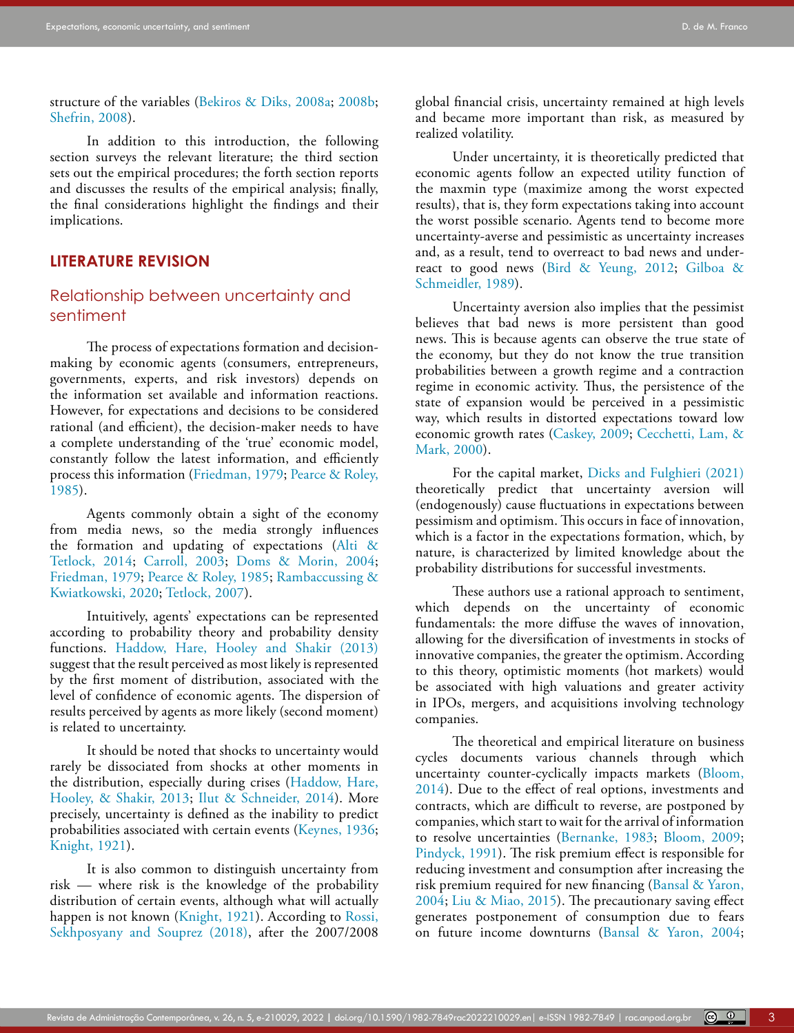structure of the variables ([Bekiros & Diks, 2008a;](#page-14-8) [2008b;](#page-14-9) Shefrin, 2008).

In addition to this introduction, the following section surveys the relevant literature; the third section sets out the empirical procedures; the forth section reports and discusses the results of the empirical analysis; finally, the final considerations highlight the findings and their implications.

## **LITERATURE REVISION**

# Relationship between uncertainty and sentiment

The process of expectations formation and decisionmaking by economic agents (consumers, entrepreneurs, governments, experts, and risk investors) depends on the information set available and information reactions. However, for expectations and decisions to be considered rational (and efficient), the decision-maker needs to have a complete understanding of the 'true' economic model, constantly follow the latest information, and efficiently process this information [\(Friedman, 1979;](#page-15-1) Pearce & Roley, 1985).

Agents commonly obtain a sight of the economy from media news, so the media strongly influences the formation and updating of expectations [\(Alti &](#page-13-1)  [Tetlock, 2014;](#page-13-1) [Carroll, 2003;](#page-14-10) [Doms & Morin, 2004;](#page-14-11) [Friedman, 1979;](#page-15-1) Pearce & Roley, 1985; Rambaccussing & Kwiatkowski, 2020; Tetlock, 2007).

Intuitively, agents' expectations can be represented according to probability theory and probability density functions. [Haddow, Hare, Hooley and Shakir \(2013\)](#page-15-12) suggest that the result perceived as most likely is represented by the first moment of distribution, associated with the level of confidence of economic agents. The dispersion of results perceived by agents as more likely (second moment) is related to uncertainty.

It should be noted that shocks to uncertainty would rarely be dissociated from shocks at other moments in the distribution, especially during crises ([Haddow, Hare,](#page-15-12)  [Hooley, & Shakir, 2013;](#page-15-12) [Ilut & Schneider, 2014\)](#page-15-13). More precisely, uncertainty is defined as the inability to predict probabilities associated with certain events ([Keynes, 1936;](#page-15-7) [Knight, 1921](#page-15-8)).

It is also common to distinguish uncertainty from risk — where risk is the knowledge of the probability distribution of certain events, although what will actually happen is not known [\(Knight, 1921](#page-15-8)). According to Rossi, Sekhposyany and Souprez (2018), after the 2007/2008 global financial crisis, uncertainty remained at high levels and became more important than risk, as measured by realized volatility.

Under uncertainty, it is theoretically predicted that economic agents follow an expected utility function of the maxmin type (maximize among the worst expected results), that is, they form expectations taking into account the worst possible scenario. Agents tend to become more uncertainty-averse and pessimistic as uncertainty increases and, as a result, tend to overreact to bad news and underreact to good news ([Bird & Yeung, 2012;](#page-14-12) [Gilboa &](#page-15-14) [Schmeidler, 1989](#page-15-14)).

Uncertainty aversion also implies that the pessimist believes that bad news is more persistent than good news. This is because agents can observe the true state of the economy, but they do not know the true transition probabilities between a growth regime and a contraction regime in economic activity. Thus, the persistence of the state of expansion would be perceived in a pessimistic way, which results in distorted expectations toward low economic growth rates ([Caskey, 2009](#page-14-13); [Cecchetti, Lam, &](#page-14-14) [Mark, 2000\)](#page-14-14).

For the capital market, [Dicks and Fulghieri \(2021\)](#page-14-15) theoretically predict that uncertainty aversion will (endogenously) cause fluctuations in expectations between pessimism and optimism. This occurs in face of innovation, which is a factor in the expectations formation, which, by nature, is characterized by limited knowledge about the probability distributions for successful investments.

These authors use a rational approach to sentiment, which depends on the uncertainty of economic fundamentals: the more diffuse the waves of innovation, allowing for the diversification of investments in stocks of innovative companies, the greater the optimism. According to this theory, optimistic moments (hot markets) would be associated with high valuations and greater activity in IPOs, mergers, and acquisitions involving technology companies.

The theoretical and empirical literature on business cycles documents various channels through which uncertainty counter-cyclically impacts markets [\(Bloom,](#page-14-16) [2014](#page-14-16)). Due to the effect of real options, investments and contracts, which are difficult to reverse, are postponed by companies, which start to wait for the arrival of information to resolve uncertainties ([Bernanke, 1983;](#page-14-17) [Bloom, 2009](#page-14-18); Pindyck, 1991). The risk premium effect is responsible for reducing investment and consumption after increasing the risk premium required for new financing ([Bansal & Yaron,](#page-14-19) [2004](#page-14-19); [Liu & Miao, 2015\)](#page-15-15). The precautionary saving effect generates postponement of consumption due to fears on future income downturns ([Bansal & Yaron, 2004](#page-14-19);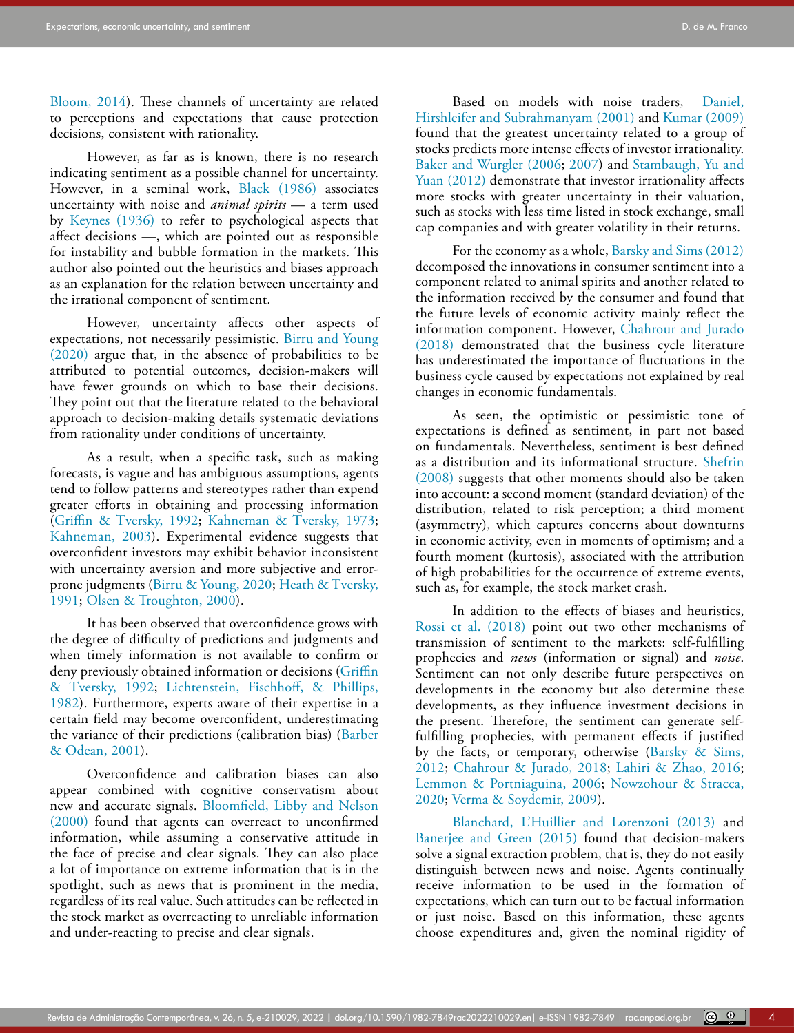[Bloom, 2014\)](#page-14-16). These channels of uncertainty are related to perceptions and expectations that cause protection decisions, consistent with rationality.

However, as far as is known, there is no research indicating sentiment as a possible channel for uncertainty. However, in a seminal work, [Black \(1986\)](#page-14-3) associates uncertainty with noise and *animal spirits* — a term used by [Keynes \(1936\)](#page-15-7) to refer to psychological aspects that affect decisions —, which are pointed out as responsible for instability and bubble formation in the markets. This author also pointed out the heuristics and biases approach as an explanation for the relation between uncertainty and the irrational component of sentiment.

However, uncertainty affects other aspects of expectations, not necessarily pessimistic. [Birru and Young](#page-14-20)  [\(2020\)](#page-14-20) argue that, in the absence of probabilities to be attributed to potential outcomes, decision-makers will have fewer grounds on which to base their decisions. They point out that the literature related to the behavioral approach to decision-making details systematic deviations from rationality under conditions of uncertainty.

As a result, when a specific task, such as making forecasts, is vague and has ambiguous assumptions, agents tend to follow patterns and stereotypes rather than expend greater efforts in obtaining and processing information ([Griffin & Tversky, 1992](#page-15-16); [Kahneman & Tversky, 1973;](#page-15-2) [Kahneman, 2003](#page-15-6)). Experimental evidence suggests that overconfident investors may exhibit behavior inconsistent with uncertainty aversion and more subjective and errorprone judgments [\(Birru & Young, 2020;](#page-14-20) [Heath & Tversky,](#page-15-17)  [1991;](#page-15-17) Olsen & Troughton, 2000).

It has been observed that overconfidence grows with the degree of difficulty of predictions and judgments and when timely information is not available to confirm or deny previously obtained information or decisions (Griffin [& Tversky, 1992](#page-15-16); [Lichtenstein, Fischhoff, & Phillips,](#page-15-18)  [1982\)](#page-15-18). Furthermore, experts aware of their expertise in a certain field may become overconfident, underestimating the variance of their predictions (calibration bias) ([Barber](#page-14-21)  [& Odean, 2001\)](#page-14-21).

Overconfidence and calibration biases can also appear combined with cognitive conservatism about new and accurate signals. [Bloomfield, Libby and Nelson](#page-14-22)  [\(2000\)](#page-14-22) found that agents can overreact to unconfirmed information, while assuming a conservative attitude in the face of precise and clear signals. They can also place a lot of importance on extreme information that is in the spotlight, such as news that is prominent in the media, regardless of its real value. Such attitudes can be reflected in the stock market as overreacting to unreliable information and under-reacting to precise and clear signals.

Based on models with noise traders, [Daniel,](#page-14-5) [Hirshleifer and Subrahmanyam \(2001\)](#page-14-5) and [Kumar \(2009\)](#page-15-4) found that the greatest uncertainty related to a group of stocks predicts more intense effects of investor irrationality. [Baker and Wurgler \(2006;](#page-14-23) [2007](#page-14-24)) and Stambaugh, Yu and Yuan (2012) demonstrate that investor irrationality affects more stocks with greater uncertainty in their valuation, such as stocks with less time listed in stock exchange, small cap companies and with greater volatility in their returns.

For the economy as a whole, [Barsky and Sims \(2012\)](#page-14-0) decomposed the innovations in consumer sentiment into a component related to animal spirits and another related to the information received by the consumer and found that the future levels of economic activity mainly reflect the information component. However, [Chahrour and Jurado](#page-14-1) [\(2018\)](#page-14-1) demonstrated that the business cycle literature has underestimated the importance of fluctuations in the business cycle caused by expectations not explained by real changes in economic fundamentals.

As seen, the optimistic or pessimistic tone of expectations is defined as sentiment, in part not based on fundamentals. Nevertheless, sentiment is best defined as a distribution and its informational structure. Shefrin (2008) suggests that other moments should also be taken into account: a second moment (standard deviation) of the distribution, related to risk perception; a third moment (asymmetry), which captures concerns about downturns in economic activity, even in moments of optimism; and a fourth moment (kurtosis), associated with the attribution of high probabilities for the occurrence of extreme events, such as, for example, the stock market crash.

In addition to the effects of biases and heuristics, Rossi et al. (2018) point out two other mechanisms of transmission of sentiment to the markets: self-fulfilling prophecies and *news* (information or signal) and *noise*. Sentiment can not only describe future perspectives on developments in the economy but also determine these developments, as they influence investment decisions in the present. Therefore, the sentiment can generate selffulfilling prophecies, with permanent effects if justified by the facts, or temporary, otherwise ([Barsky & Sims,](#page-14-0) [2012](#page-14-0); [Chahrour & Jurado, 2018;](#page-14-1) [Lahiri & Zhao, 2016](#page-15-0); [Lemmon & Portniaguina, 2006;](#page-15-19) Nowzohour & Stracca, 2020; Verma & Soydemir, 2009).

Blanchard, L'Huillier and Lorenzoni (2013) and [Banerjee and Green \(2015\)](#page-14-2) found that decision-makers solve a signal extraction problem, that is, they do not easily distinguish between news and noise. Agents continually receive information to be used in the formation of expectations, which can turn out to be factual information or just noise. Based on this information, these agents choose expenditures and, given the nominal rigidity of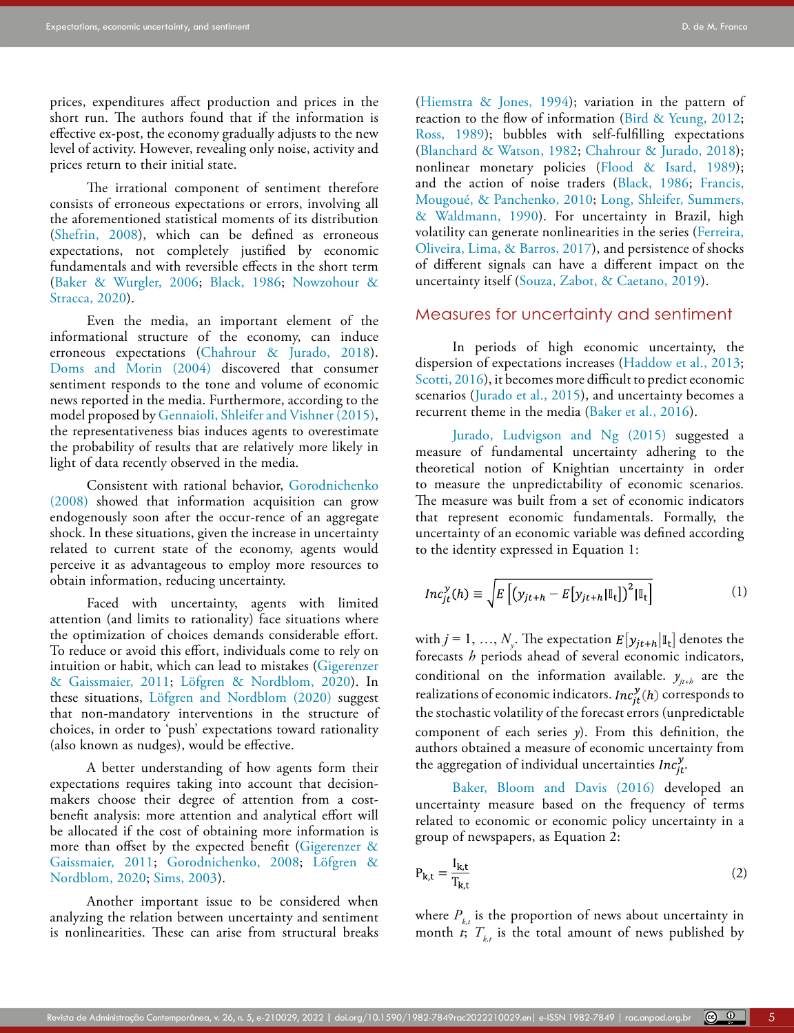prices, expenditures affect production and prices in the short run. The authors found that if the information is effective ex-post, the economy gradually adjusts to the new level of activity. However, revealing only noise, activity and prices return to their initial state.

The irrational component of sentiment therefore consists of erroneous expectations or errors, involving all the aforementioned statistical moments of its distribution (Shefrin, 2008), which can be defined as erroneous expectations, not completely justified by economic fundamentals and with reversible effects in the short term ([Baker & Wurgler, 2006;](#page-14-23) [Black, 1986;](#page-14-3) Nowzohour & Stracca, 2020).

Even the media, an important element of the informational structure of the economy, can induce erroneous expectations [\(Chahrour & Jurado, 2018](#page-14-1)). [Doms and Morin \(2004\)](#page-14-11) discovered that consumer sentiment responds to the tone and volume of economic news reported in the media. Furthermore, according to the model proposed by [Gennaioli, Shleifer and Vishner \(2015\),](#page-15-20) the representativeness bias induces agents to overestimate the probability of results that are relatively more likely in light of data recently observed in the media.

Consistent with rational behavior, [Gorodnichenko](#page-15-21)  [\(2008\)](#page-15-21) showed that information acquisition can grow endogenously soon after the occur-rence of an aggregate shock. In these situations, given the increase in uncertainty related to current state of the economy, agents would perceive it as advantageous to employ more resources to obtain information, reducing uncertainty.

Faced with uncertainty, agents with limited attention (and limits to rationality) face situations where the optimization of choices demands considerable effort. To reduce or avoid this effort, individuals come to rely on intuition or habit, which can lead to mistakes ([Gigerenzer](#page-15-11)  [& Gaissmaier, 2011](#page-15-11); Löfgren & Nordblom, 2020). In these situations, Löfgren and Nordblom (2020) suggest that non-mandatory interventions in the structure of choices, in order to 'push' expectations toward rationality (also known as nudges), would be effective.

A better understanding of how agents form their expectations requires taking into account that decisionmakers choose their degree of attention from a costbenefit analysis: more attention and analytical effort will be allocated if the cost of obtaining more information is more than offset by the expected benefit ([Gigerenzer &](#page-15-11)  [Gaissmaier, 2011;](#page-15-11) [Gorodnichenko, 2008;](#page-15-21) Löfgren & Nordblom, 2020; Sims, 2003).

Another important issue to be considered when analyzing the relation between uncertainty and sentiment is nonlinearities. These can arise from structural breaks

([Hiemstra & Jones, 1994\)](#page-15-22); variation in the pattern of reaction to the flow of information [\(Bird & Yeung, 2012](#page-14-12); Ross, 1989); bubbles with self-fulfilling expectations ([Blanchard & Watson, 1982](#page-14-25); [Chahrour & Jurado, 2018\)](#page-14-1); nonlinear monetary policies ([Flood & Isard, 1989\)](#page-15-23); and the action of noise traders ([Black, 1986;](#page-14-3) Francis, Mougoué, & Panchenko, 2010; [Long, Shleifer, Summers,](#page-16-0) [& Waldmann, 1990](#page-16-0)). For uncertainty in Brazil, high volatility can generate nonlinearities in the series [\(Ferreira,](#page-15-24) [Oliveira, Lima, & Barros, 2017](#page-15-24)), and persistence of shocks of different signals can have a different impact on the uncertainty itself (Souza, Zabot, & Caetano, 2019).

## Measures for uncertainty and sentiment

In periods of high economic uncertainty, the dispersion of expectations increases ([Haddow et al., 2013](#page-15-12); Scotti, 2016), it becomes more difficult to predict economic scenarios ([Jurado et al., 2015\)](#page-15-9), and uncertainty becomes a recurrent theme in the media [\(Baker et al., 2016](#page-13-0)).

[Jurado, Ludvigson and Ng \(2015\)](#page-15-9) suggested a measure of fundamental uncertainty adhering to the theoretical notion of Knightian uncertainty in order to measure the unpredictability of economic scenarios. The measure was built from a set of economic indicators that represent economic fundamentals. Formally, the uncertainty of an economic variable was defined according to the identity expressed in Equation 1:

$$
Inc_{jt}^{\mathcal{Y}}(h) \equiv \sqrt{E\left[\left(y_{jt+h} - E\left[y_{jt+h}|\mathbb{I}_{t}\right]\right)^{2}|\mathbb{I}_{t}\right]}
$$
(1)

with  $j = 1, ..., N_{y}$ . The expectation  $E[y_{jt+h}|\mathbb{I}_{t}]$  denotes the forecasts *h* periods ahead of several economic indicators, conditional on the information available.  $y_{j t+h}$  are the realizations of economic indicators.  $Inc_{it}^{y}(h)$  corresponds to the stochastic volatility of the forecast errors (unpredictable component of each series *y*). From this definition, the authors obtained a measure of economic uncertainty from the aggregation of individual uncertainties  $Inc_{jt}^y$ .

[Baker, Bloom and Davis \(2016\)](#page-13-0) developed an uncertainty measure based on the frequency of terms related to economic or economic policy uncertainty in a group of newspapers, as Equation 2:

$$
P_{k,t} = \frac{I_{k,t}}{T_{k,t}}\tag{2}
$$

where  $P_{k,t}$  is the proportion of news about uncertainty in month *t*;  $T_{kt}$  is the total amount of news published by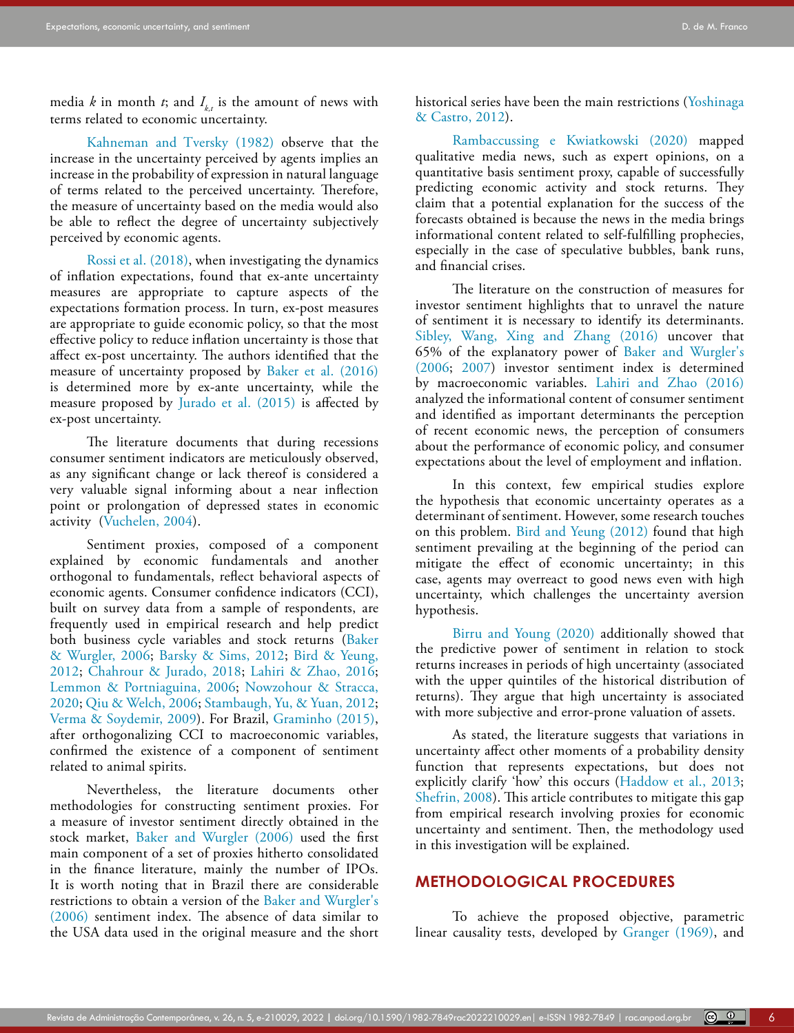media *k* in month *t*; and  $I_{k,t}$  is the amount of news with terms related to economic uncertainty.

[Kahneman and Tversky \(1982\)](#page-15-3) observe that the increase in the uncertainty perceived by agents implies an increase in the probability of expression in natural language of terms related to the perceived uncertainty. Therefore, the measure of uncertainty based on the media would also be able to reflect the degree of uncertainty subjectively perceived by economic agents.

Rossi et al. (2018), when investigating the dynamics of inflation expectations, found that ex-ante uncertainty measures are appropriate to capture aspects of the expectations formation process. In turn, ex-post measures are appropriate to guide economic policy, so that the most effective policy to reduce inflation uncertainty is those that affect ex-post uncertainty. The authors identified that the measure of uncertainty proposed by [Baker et al. \(2016\)](#page-13-0) is determined more by ex-ante uncertainty, while the measure proposed by [Jurado et al. \(2015\)](#page-15-9) is affected by ex-post uncertainty.

The literature documents that during recessions consumer sentiment indicators are meticulously observed, as any significant change or lack thereof is considered a very valuable signal informing about a near inflection point or prolongation of depressed states in economic activity (Vuchelen, 2004).

Sentiment proxies, composed of a component explained by economic fundamentals and another orthogonal to fundamentals, reflect behavioral aspects of economic agents. Consumer confidence indicators (CCI), built on survey data from a sample of respondents, are frequently used in empirical research and help predict both business cycle variables and stock returns ([Baker](#page-14-23)  [& Wurgler, 2006](#page-14-23); [Barsky & Sims, 2012](#page-14-0); [Bird & Yeung,](#page-14-12)  [2012;](#page-14-12) [Chahrour & Jurado, 2018](#page-14-1); [Lahiri & Zhao, 2016;](#page-15-0) [Lemmon & Portniaguina, 2006;](#page-15-19) Nowzohour & Stracca, 2020; Qiu & Welch, 2006; Stambaugh, Yu, & Yuan, 2012; Verma & Soydemir, 2009). For Brazil, [Graminho \(2015\),](#page-15-25) after orthogonalizing CCI to macroeconomic variables, confirmed the existence of a component of sentiment related to animal spirits.

Nevertheless, the literature documents other methodologies for constructing sentiment proxies. For a measure of investor sentiment directly obtained in the stock market, [Baker and Wurgler \(2006\)](#page-14-23) used the first main component of a set of proxies hitherto consolidated in the finance literature, mainly the number of IPOs. It is worth noting that in Brazil there are considerable restrictions to obtain a version of the [Baker and Wurgler's](#page-14-23)  [\(2006](#page-14-23)) sentiment index. The absence of data similar to the USA data used in the original measure and the short historical series have been the main restrictions (Yoshinaga & Castro, 2012).

Rambaccussing e Kwiatkowski (2020) mapped qualitative media news, such as expert opinions, on a quantitative basis sentiment proxy, capable of successfully predicting economic activity and stock returns. They claim that a potential explanation for the success of the forecasts obtained is because the news in the media brings informational content related to self-fulfilling prophecies, especially in the case of speculative bubbles, bank runs, and financial crises.

The literature on the construction of measures for investor sentiment highlights that to unravel the nature of sentiment it is necessary to identify its determinants. Sibley, Wang, Xing and Zhang (2016) uncover that 65% of the explanatory power of [Baker and Wurgler's](#page-14-23) [\(2006;](#page-14-23) [2007\)](#page-14-24) investor sentiment index is determined by macroeconomic variables. [Lahiri and Zhao \(2016\)](#page-15-0) analyzed the informational content of consumer sentiment and identified as important determinants the perception of recent economic news, the perception of consumers about the performance of economic policy, and consumer expectations about the level of employment and inflation.

In this context, few empirical studies explore the hypothesis that economic uncertainty operates as a determinant of sentiment. However, some research touches on this problem. [Bird and Yeung \(2012\)](#page-14-12) found that high sentiment prevailing at the beginning of the period can mitigate the effect of economic uncertainty; in this case, agents may overreact to good news even with high uncertainty, which challenges the uncertainty aversion hypothesis.

[Birru and Young \(2020\)](#page-14-20) additionally showed that the predictive power of sentiment in relation to stock returns increases in periods of high uncertainty (associated with the upper quintiles of the historical distribution of returns). They argue that high uncertainty is associated with more subjective and error-prone valuation of assets.

As stated, the literature suggests that variations in uncertainty affect other moments of a probability density function that represents expectations, but does not explicitly clarify 'how' this occurs ([Haddow et al., 2013](#page-15-12); Shefrin, 2008). This article contributes to mitigate this gap from empirical research involving proxies for economic uncertainty and sentiment. Then, the methodology used in this investigation will be explained.

# **METHODOLOGICAL PROCEDURES**

To achieve the proposed objective, parametric linear causality tests, developed by [Granger \(1969\),](#page-15-26) and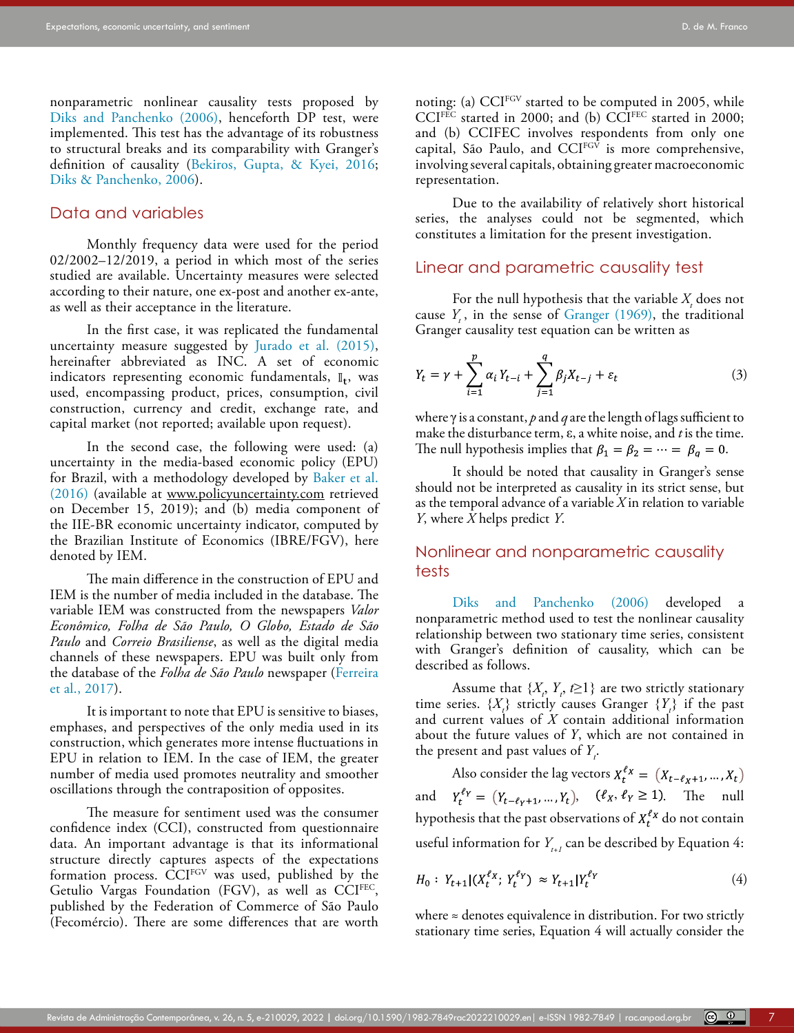nonparametric nonlinear causality tests proposed by [Diks and Panchenko \(2006\),](#page-14-7) henceforth DP test, were implemented. This test has the advantage of its robustness to structural breaks and its comparability with Granger's definition of causality ([Bekiros, Gupta, & Kyei, 2016;](#page-14-26) [Diks & Panchenko, 2006](#page-14-7)).

## Data and variables

Monthly frequency data were used for the period 02/2002–12/2019, a period in which most of the series studied are available. Uncertainty measures were selected according to their nature, one ex-post and another ex-ante, as well as their acceptance in the literature.

In the first case, it was replicated the fundamental uncertainty measure suggested by [Jurado et al. \(2015\),](#page-15-9) hereinafter abbreviated as INC. A set of economic indicators representing economic fundamentals,  $\mathbb{I}_t$ , was used, encompassing product, prices, consumption, civil construction, currency and credit, exchange rate, and capital market (not reported; available upon request).

In the second case, the following were used: (a) uncertainty in the media-based economic policy (EPU) for Brazil, with a methodology developed by [Baker et al.](#page-13-0)  [\(2016\)](#page-13-0) (available at [www.policyuncertainty.com](http://www.policyuncertainty.com) retrieved on December 15, 2019); and (b) media component of the IIE-BR economic uncertainty indicator, computed by the Brazilian Institute of Economics (IBRE/FGV), here denoted by IEM.

The main difference in the construction of EPU and IEM is the number of media included in the database. The variable IEM was constructed from the newspapers *Valor Econômico, Folha de São Paulo, O Globo, Estado de São Paulo* and *Correio Brasiliense*, as well as the digital media channels of these newspapers. EPU was built only from the database of the *Folha de São Paulo* newspaper [\(Ferreira](#page-15-24)  [et al., 2017](#page-15-24)).

It is important to note that EPU is sensitive to biases, emphases, and perspectives of the only media used in its construction, which generates more intense fluctuations in EPU in relation to IEM. In the case of IEM, the greater number of media used promotes neutrality and smoother oscillations through the contraposition of opposites.

The measure for sentiment used was the consumer confidence index (CCI), constructed from questionnaire data. An important advantage is that its informational structure directly captures aspects of the expectations formation process. CCI<sup>FGV</sup> was used, published by the Getulio Vargas Foundation (FGV), as well as  $CCI<sup>FEC</sup>$ , published by the Federation of Commerce of São Paulo (Fecomércio). There are some differences that are worth

noting: (a) CCI<sup>FGV</sup> started to be computed in 2005, while  $CCI<sup>FEC</sup>$  started in 2000; and (b)  $CCI<sup>FEC</sup>$  started in 2000; and (b) CCIFEC involves respondents from only one capital, São Paulo, and  $CCI<sup>FGV</sup>$  is more comprehensive, involving several capitals, obtaining greater macroeconomic representation.

Due to the availability of relatively short historical series, the analyses could not be segmented, which constitutes a limitation for the present investigation.

## Linear and parametric causality test

For the null hypothesis that the variable  $X<sub>t</sub>$  does not cause *Y*, in the sense of [Granger \(1969\),](#page-15-26) the traditional Granger causality test equation can be written as

$$
Y_{t} = \gamma + \sum_{i=1}^{p} \alpha_{i} Y_{t-i} + \sum_{j=1}^{q} \beta_{j} X_{t-j} + \varepsilon_{t}
$$
 (3)

where γ is a constant, *p* and *q* are the length of lags sufficient to make the disturbance term, ε, a white noise, and *t* is the time. The null hypothesis implies that  $\beta_1 = \beta_2 = \cdots = \beta_q = 0$ .

It should be noted that causality in Granger's sense should not be interpreted as causality in its strict sense, but as the temporal advance of a variable *X* in relation to variable *Y*, where *X* helps predict *Y*.

# Nonlinear and nonparametric causality tests

[Diks and Panchenko \(2006\)](#page-14-7) developed a nonparametric method used to test the nonlinear causality relationship between two stationary time series, consistent with Granger's definition of causality, which can be described as follows.

Assume that  $\{X_i, Y_i, t \geq 1\}$  are two strictly stationary time series.  $\{X_t\}$  strictly causes Granger  $\{Y_t\}$  if the past and current values of *X* contain additional information about the future values of *Y*, which are not contained in the present and past values of  $Y_i$ .

Also consider the lag vectors  $X_t^{\ell_X} = (X_{t-\ell_X+1},...,X_t)$ and  $Y_t^{\ell_Y} = (Y_{t-\ell_Y+1}, ..., Y_t), \quad (\ell_X, \ell_Y \ge 1).$  The null hypothesis that the past observations of  $X_t^{\ell_X}$  do not contain useful information for  $Y_{t+1}$  can be described by Equation 4:

$$
H_0: Y_{t+1}|(X_t^{\ell_X}; Y_t^{\ell_Y}) \approx Y_{t+1}|Y_t^{\ell_Y}
$$
\n(4)

where  $\approx$  denotes equivalence in distribution. For two strictly stationary time series, Equation 4 will actually consider the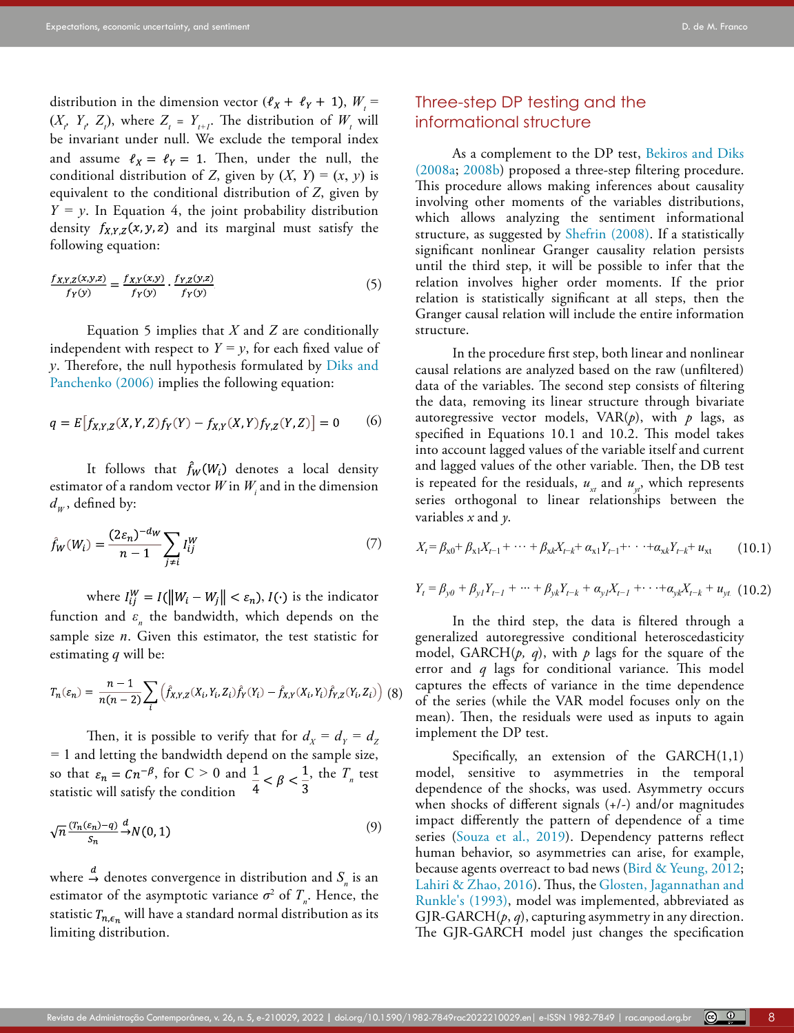distribution in the dimension vector  $(\ell_X + \ell_Y + 1), W_t =$  $(X_t, Y_t, Z_t)$ , where  $Z_t = Y_{t+1}$ . The distribution of  $W_t$  will be invariant under null. We exclude the temporal index and assume  $\ell_X = \ell_Y = 1$ . Then, under the null, the conditional distribution of *Z*, given by  $(X, Y) = (x, y)$  is equivalent to the conditional distribution of *Z*, given by  $Y = y$ . In Equation 4, the joint probability distribution density  $f_{X,Y,Z}(x, y, z)$  and its marginal must satisfy the following equation:

$$
\frac{f_{X,Y,Z}(x,y,z)}{f_Y(y)} = \frac{f_{X,Y}(x,y)}{f_Y(y)} \cdot \frac{f_{Y,Z}(y,z)}{f_Y(y)}\tag{5}
$$

Equation 5 implies that *X* and *Z* are conditionally independent with respect to  $Y = y$ , for each fixed value of *y*. Therefore, the null hypothesis formulated by [Diks and](#page-14-7)  [Panchenko \(2006\)](#page-14-7) implies the following equation:

$$
q = E[f_{X,Y,Z}(X,Y,Z)f_Y(Y) - f_{X,Y}(X,Y)f_{Y,Z}(Y,Z)] = 0
$$
 (6)

It follows that  $\hat{f}_W(W_i)$  denotes a local density estimator of a random vector  $W$  in  $W_{i}$  and in the dimension  $d_w$ , defined by:

$$
\hat{f}_W(W_i) = \frac{(2\varepsilon_n)^{-d_W}}{n-1} \sum_{j \neq i} I_{ij}^W
$$
\n(7)

where  $I_{ij}^W = I(||W_i - W_j|| < \varepsilon_n)$ ,  $I(\cdot)$  is the indicator function and  $\varepsilon_n$  the bandwidth, which depends on the sample size *n*. Given this estimator, the test statistic for estimating *q* will be:

$$
T_n(\varepsilon_n) = \frac{n-1}{n(n-2)} \sum_i \left( \hat{f}_{X,Y,Z}(X_i, Y_i, Z_i) \hat{f}_Y(Y_i) - \hat{f}_{X,Y}(X_i, Y_i) \hat{f}_{Y,Z}(Y_i, Z_i) \right)
$$
(8)

Then, it is possible to verify that for  $d_{\chi} = d_{\gamma} = d_{Z}$ *=* 1 and letting the bandwidth depend on the sample size, so that  $\varepsilon_n = Cn^{-\beta}$ , for  $C \ge 0$  and  $\frac{1}{a} < \beta < \frac{1}{a}$ , the  $T_n$  test statistic will satisfy the condition

$$
\sqrt{n} \frac{(T_n(\varepsilon_n) - q)}{S_n} \xrightarrow{d} N(0, 1) \tag{9}
$$

where  $\stackrel{\sim}{\rightarrow}$  denotes convergence in distribution and  $S_n$  is an estimator of the asymptotic variance  $\sigma^2$  of  $T_n$ . Hence, the statistic  $T_{n,\epsilon_n}$  will have a standard normal distribution as its limiting distribution.

# Three-step DP testing and the informational structure

As a complement to the DP test, [Bekiros and Diks](#page-14-8) [\(2008a;](#page-14-8) [2008b\)](#page-14-9) proposed a three-step filtering procedure. This procedure allows making inferences about causality involving other moments of the variables distributions, which allows analyzing the sentiment informational structure, as suggested by Shefrin (2008). If a statistically significant nonlinear Granger causality relation persists until the third step, it will be possible to infer that the relation involves higher order moments. If the prior relation is statistically significant at all steps, then the Granger causal relation will include the entire information structure.

In the procedure first step, both linear and nonlinear causal relations are analyzed based on the raw (unfiltered) data of the variables. The second step consists of filtering the data, removing its linear structure through bivariate autoregressive vector models,  $VAR(p)$ , with  $p$  lags, as specified in Equations 10.1 and 10.2. This model takes into account lagged values of the variable itself and current and lagged values of the other variable. Then, the DB test is repeated for the residuals,  $u_{xt}$  and  $u_{yt}$ , which represents series orthogonal to linear relationships between the variables *x* and *y*.

$$
X_{t} = \beta_{x0} + \beta_{x1}X_{t-1} + \dots + \beta_{xk}X_{t-k} + \alpha_{x1}Y_{t-1} + \dots + \alpha_{xk}Y_{t-k} + u_{xt}
$$
 (10.1)

$$
Y_{t} = \beta_{y0} + \beta_{y1}Y_{t-1} + \dots + \beta_{yk}Y_{t-k} + \alpha_{y1}X_{t-1} + \dots + \alpha_{yk}X_{t-k} + u_{yt}
$$
 (10.2)

In the third step, the data is filtered through a generalized autoregressive conditional heteroscedasticity model, GARCH $(p, q)$ , with  $p$  lags for the square of the error and *q* lags for conditional variance. This model captures the effects of variance in the time dependence of the series (while the VAR model focuses only on the mean). Then, the residuals were used as inputs to again implement the DP test.

Specifically, an extension of the  $GARCH(1,1)$ model, sensitive to asymmetries in the temporal dependence of the shocks, was used. Asymmetry occurs when shocks of different signals (+/-) and/or magnitudes impact differently the pattern of dependence of a time series (Souza et al., 2019). Dependency patterns reflect human behavior, so asymmetries can arise, for example, because agents overreact to bad news ([Bird & Yeung, 2012](#page-14-12); [Lahiri & Zhao, 2016](#page-15-0)). Thus, the [Glosten, Jagannathan and](#page-15-27) [Runkle's \(1993\),](#page-15-27) model was implemented, abbreviated as GJR-GARCH $(p, q)$ , capturing asymmetry in any direction. The GJR-GARCH model just changes the specification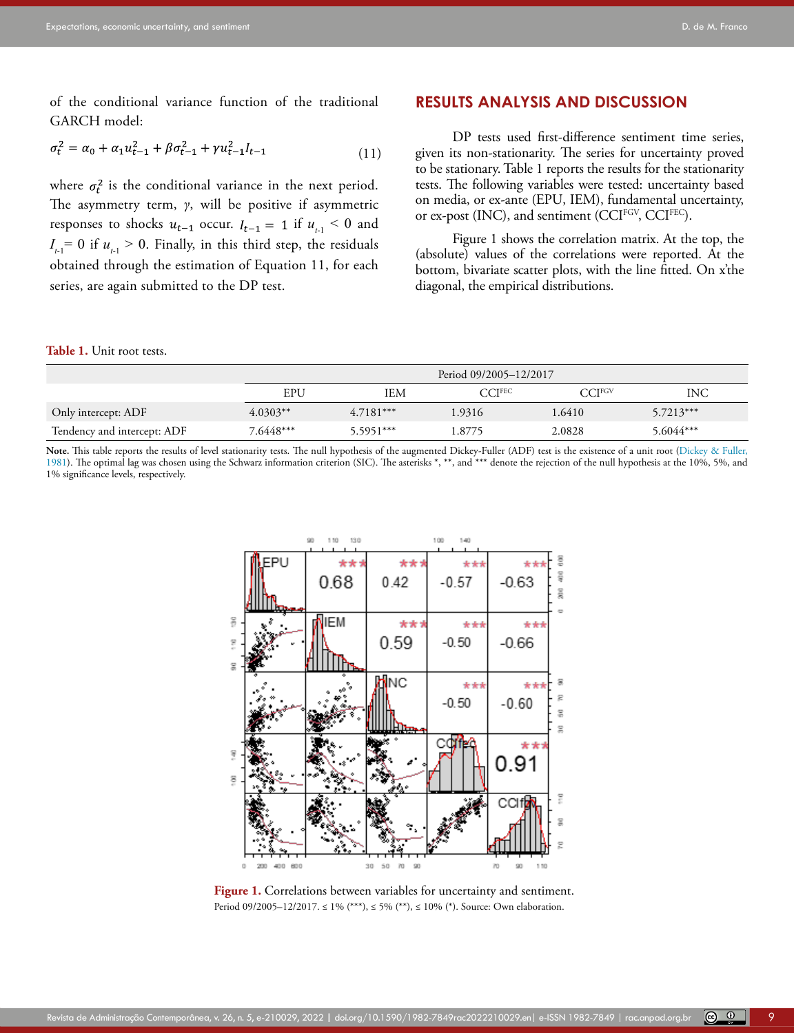of the conditional variance function of the traditional GARCH model:

$$
\sigma_t^2 = \alpha_0 + \alpha_1 u_{t-1}^2 + \beta \sigma_{t-1}^2 + \gamma u_{t-1}^2 l_{t-1}
$$
\n(11)

where  $\sigma_t^2$  is the conditional variance in the next period. The asymmetry term, *γ*, will be positive if asymmetric responses to shocks  $u_{t-1}$  occur.  $I_{t-1} = 1$  if  $u_{t-1} < 0$  and  $I_{t-1}$ = 0 if  $u_{t-1}$  > 0. Finally, in this third step, the residuals obtained through the estimation of Equation 11, for each series, are again submitted to the DP test.

# **RESULTS ANALYSIS AND DISCUSSION**

DP tests used first-difference sentiment time series, given its non-stationarity. The series for uncertainty proved to be stationary. Table 1 reports the results for the stationarity tests. The following variables were tested: uncertainty based on media, or ex-ante (EPU, IEM), fundamental uncertainty, or ex-post (INC), and sentiment (CCIFGV, CCIFEC).

Figure 1 shows the correlation matrix. At the top, the (absolute) values of the correlations were reported. At the bottom, bivariate scatter plots, with the line fitted. On x'the diagonal, the empirical distributions.

#### **Table 1.** Unit root tests.

|                             | Period 09/2005-12/2017 |             |                    |                   |             |  |  |  |
|-----------------------------|------------------------|-------------|--------------------|-------------------|-------------|--|--|--|
|                             | EPU                    | IEM         | CCI <sub>REC</sub> | CCI <sub>RC</sub> | INC         |  |  |  |
| Only intercept: ADF         | $4.0303**$             | $4.7181***$ | 1.9316             | 1.6410            | $5.7213***$ |  |  |  |
| Tendency and intercept: ADF | 7.6448***              | $5.5951***$ | .8775              | 2.0828            | 5.6044***   |  |  |  |

Note. This table reports the results of level stationarity tests. The null hypothesis of the augmented Dickey-Fuller (ADF) test is the existence of a unit root [\(Dickey & Fuller,](#page-14-27) [1981](#page-14-27)). The optimal lag was chosen using the Schwarz information criterion (SIC). The asterisks \*, \*\*, and \*\*\* denote the rejection of the null hypothesis at the 10%, 5%, and 1% significance levels, respectively.



**Figure 1.** Correlations between variables for uncertainty and sentiment. Period 09/2005–12/2017. ≤ 1% (\*\*\*), ≤ 5% (\*\*), ≤ 10% (\*). Source: Own elaboration.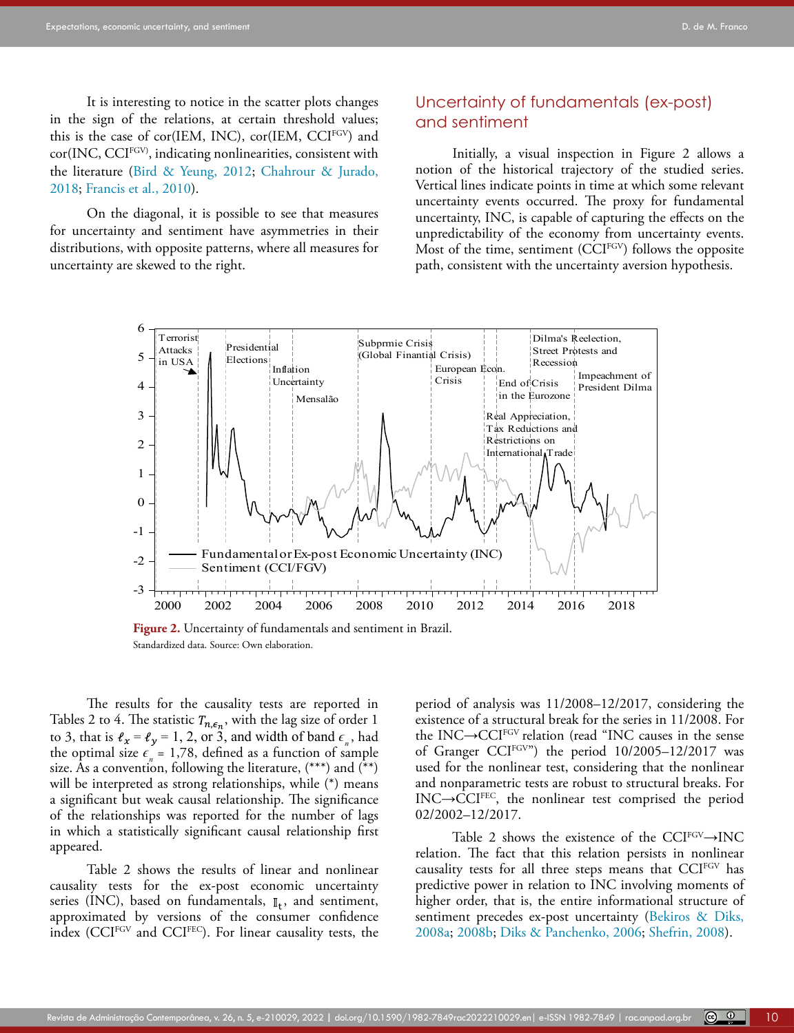It is interesting to notice in the scatter plots changes in the sign of the relations, at certain threshold values; this is the case of cor(IEM, INC), cor(IEM, CCIFGV) and cor(INC, CCIFGV), indicating nonlinearities, consistent with the literature [\(Bird & Yeung, 2012](#page-14-12); [Chahrour & Jurado,](#page-14-1)  [2018](#page-14-1); [Francis et al., 2010\)](#page-15-28).

On the diagonal, it is possible to see that measures for uncertainty and sentiment have asymmetries in their distributions, with opposite patterns, where all measures for uncertainty are skewed to the right.

# Uncertainty of fundamentals (ex-post) and sentiment

Initially, a visual inspection in Figure 2 allows a notion of the historical trajectory of the studied series. Vertical lines indicate points in time at which some relevant uncertainty events occurred. The proxy for fundamental uncertainty, INC, is capable of capturing the effects on the unpredictability of the economy from uncertainty events. Most of the time, sentiment (CCIFGV) follows the opposite path, consistent with the uncertainty aversion hypothesis.



**Figure 2.** Uncertainty of fundamentals and sentiment in Brazil. Standardized data. Source: Own elaboration.

The results for the causality tests are reported in Tables 2 to 4. The statistic  $T_{n,\epsilon_n}$ , with the lag size of order 1 to 3, that is  $\ell_x = \ell_y = 1, 2,$  or 3, and width of band  $\epsilon_n$ , had the optimal size  $\epsilon_n = 1.78$ , defined as a function of sample size. As a convention, following the literature, (\*\*\*) and (\*\*) will be interpreted as strong relationships, while (\*) means a significant but weak causal relationship. The significance of the relationships was reported for the number of lags in which a statistically significant causal relationship first appeared.

Table 2 shows the results of linear and nonlinear causality tests for the ex-post economic uncertainty series (INC), based on fundamentals,  $\mathbb{I}_t$ , and sentiment, approximated by versions of the consumer confidence index (CCIFGV and CCIFEC). For linear causality tests, the period of analysis was 11/2008–12/2017, considering the existence of a structural break for the series in 11/2008. For the INC→CCIFGV relation (read "INC causes in the sense of Granger CCI<sup>FGV"</sup>) the period 10/2005-12/2017 was used for the nonlinear test, considering that the nonlinear and nonparametric tests are robust to structural breaks. For INC→CCIFEC, the nonlinear test comprised the period 02/2002–12/2017.

Table 2 shows the existence of the CCI<sup>FGV</sup> $\rightarrow$ INC relation. The fact that this relation persists in nonlinear causality tests for all three steps means that CCIFGV has predictive power in relation to INC involving moments of higher order, that is, the entire informational structure of sentiment precedes ex-post uncertainty [\(Bekiros & Diks,](#page-14-8) [2008a](#page-14-8); [2008b](#page-14-9); [Diks & Panchenko, 2006;](#page-14-7) Shefrin, 2008).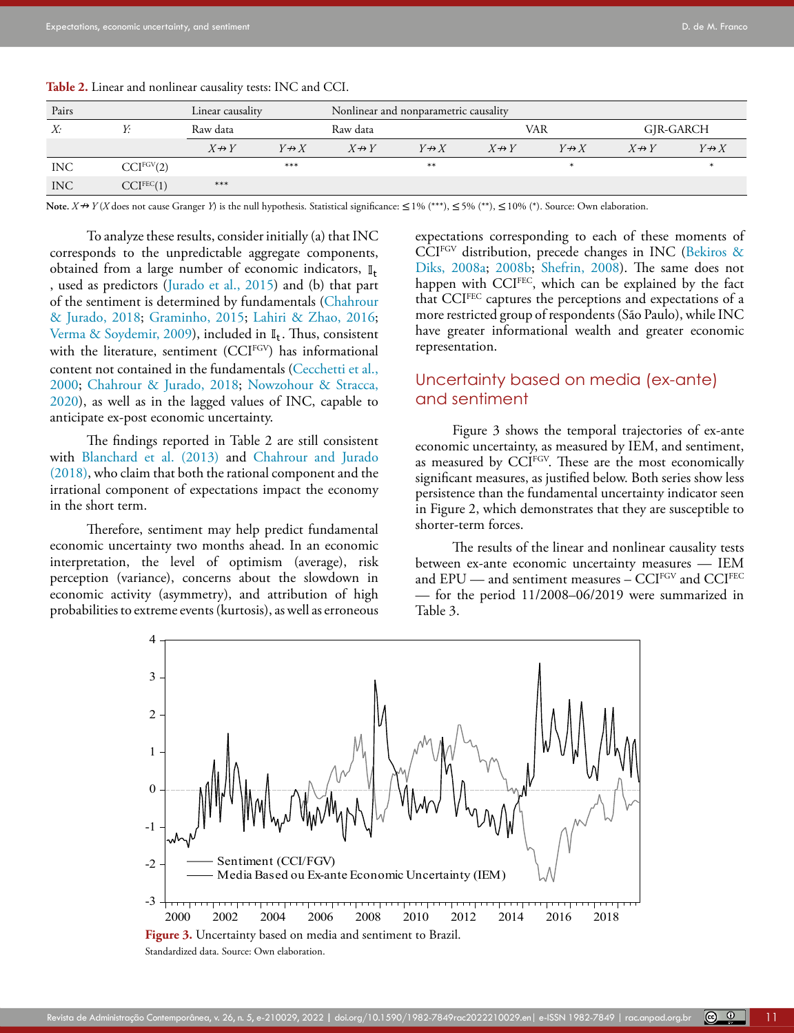| Pairs<br>Linear causality |                        |                       | Nonlinear and nonparametric causality |                    |                   |                    |                   |                    |                   |
|---------------------------|------------------------|-----------------------|---------------------------------------|--------------------|-------------------|--------------------|-------------------|--------------------|-------------------|
| X:                        | V.                     | Raw data              |                                       | Raw data           |                   | VAR                |                   | GJR-GARCH          |                   |
|                           |                        | $X \leftrightarrow Y$ | $Y \rightarrow X$                     | $X \nrightarrow Y$ | $Y \rightarrow X$ | $X \nrightarrow Y$ | $Y \rightarrow X$ | $X \nrightarrow Y$ | $Y \rightarrow X$ |
| <b>INC</b>                | CCI <sup>FGV</sup> (2) |                       | ***                                   |                    | **                |                    | $\ast$            |                    |                   |
| <b>INC</b>                | CCI <sup>FEC</sup> (1) | ***                   |                                       |                    |                   |                    |                   |                    |                   |

**Table 2.** Linear and nonlinear causality tests: INC and CCI.

Note.  $X \nrightarrow Y(X)$  does not cause Granger *Y*) is the null hypothesis. Statistical significance:  $\leq 1\%$  (\*\*\*),  $\leq 5\%$  (\*\*),  $\leq 10\%$  (\*). Source: Own elaboration.

To analyze these results, consider initially (a) that INC corresponds to the unpredictable aggregate components, obtained from a large number of economic indicators,  $\mathbb{I}_t$ , used as predictors ([Jurado et al., 2015](#page-15-9)) and (b) that part of the sentiment is determined by fundamentals ([Chahrour](#page-14-1)  [& Jurado, 2018;](#page-14-1) [Graminho, 2015;](#page-15-25) [Lahiri & Zhao, 2016;](#page-15-0) Verma & Soydemir, 2009), included in  $\mathbb{I}_{t}$ . Thus, consistent with the literature, sentiment  $(CCI^{FGV})$  has informational representation. content not contained in the fundamentals ([Cecchetti et al.,](#page-14-14)  [2000](#page-14-14); [Chahrour & Jurado, 2018](#page-14-1); Nowzohour & Stracca, **UNC CHOINTY DOSEG ON ME**C 2020), as well as in the lagged values of INC, capable to anticipate ex-post economic uncertainty.

The findings reported in Table 2 are still consistent economic uncertai with [Blanchard et al. \(2013\)](#page-14-28) and [Chahrour and Jurado](#page-14-1)  [\(2018\)](#page-14-1), who claim that both the rational component and the irrational component of expectations impact the economy in the short term.

Therefore, sentiment may help predict fundamental shorter-term rorces. economic uncertainty two months ahead. In an economic interpretation, the level of optimism (average), risk perception (variance), concerns about the slowdown in economic activity (asymmetry), and attribution of high probabilities to extreme events (kurtosis), as well as erroneous

expectations corresponding to each of these moments of CCIFGV distribution, precede changes in INC [\(Bekiros &](#page-14-8) [Diks, 2008a;](#page-14-8) [2008b;](#page-14-9) Shefrin, 2008). The same does not happen with CCI<sup>FEC</sup>, which can be explained by the fact that CCIFEC captures the perceptions and expectations of a more restricted group of respondents (São Paulo), while INC  $\frac{m}{\ln |F_1|}$ . Thus, consistent have greater informational wealth and greater economic representation.

# Uncertainty based on media (ex-ante) and sentiment

Figure 3 shows the temporal trajectories of ex-ante economic uncertainty, as measured by IEM, and sentiment, as measured by CCIFGV. These are the most economically th the rational component and the significant measures, as justified below. Both series show less persistence than the fundamental uncertainty indicator seen in Figure 2, which demonstrates that they are susceptible to shorter-term forces.

The results of the linear and nonlinear causality tests the level of optimism (average), risk between ex-ante economic uncertainty measures - IEM and EPU — and sentiment measures - CCIFGV and CCIFEC — for the period 11/2008–06/2019 were summarized in Table 3.



Standardized data. Source: Own elaboration.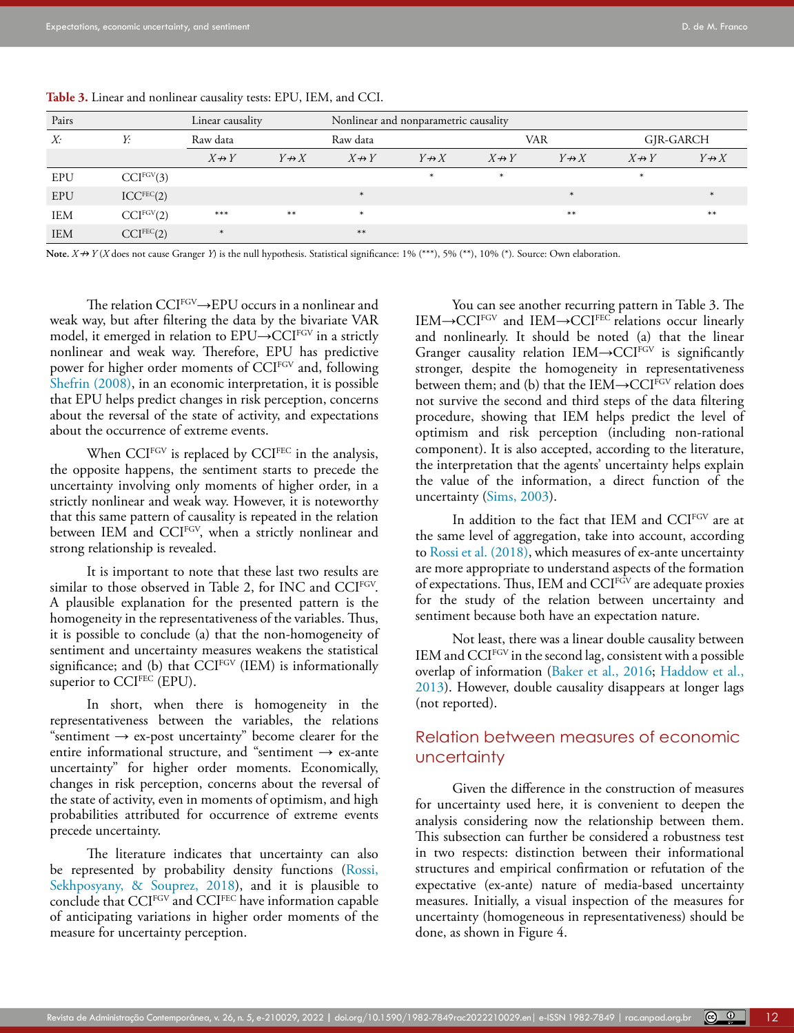| Pairs      | Linear causality       |                    |                   | Nonlinear and nonparametric causality |                   |                   |                   |                    |                   |  |
|------------|------------------------|--------------------|-------------------|---------------------------------------|-------------------|-------------------|-------------------|--------------------|-------------------|--|
| X:         | Y:                     | Raw data           |                   |                                       | Raw data          |                   | <b>VAR</b>        |                    | GJR-GARCH         |  |
|            |                        | $X \nrightarrow Y$ | $Y \rightarrow X$ | $X \nrightarrow Y$                    | $Y \rightarrow X$ | $X \rightarrow Y$ | $Y \rightarrow X$ | $X \nrightarrow Y$ | $Y \rightarrow X$ |  |
| EPU        | CCI <sup>FGV</sup> (3) |                    |                   |                                       | $\ast$            | $\ast$            |                   | $\ast$             |                   |  |
| EPU        | ICC <sup>FEC</sup> (2) |                    |                   | $\ast$                                |                   |                   | $\ast$            |                    |                   |  |
| <b>IEM</b> | CCI <sup>FGV</sup> (2) | $***$              | $***$             | $\ast$                                |                   |                   | $**$              |                    | $***$             |  |
| <b>IEM</b> | $CCI^{FEC}(2)$         | $\ast$             |                   | $**$                                  |                   |                   |                   |                    |                   |  |

**Table 3.** Linear and nonlinear causality tests: EPU, IEM, and CCI.

Note.  $X \nrightarrow Y$  (*X* does not cause Granger *Y*) is the null hypothesis. Statistical significance: 1% (\*\*\*), 5% (\*\*), 10% (\*). Source: Own elaboration.

The relation CCIFGV→EPU occurs in a nonlinear and weak way, but after filtering the data by the bivariate VAR model, it emerged in relation to EPU→CCIFGV in a strictly nonlinear and weak way. Therefore, EPU has predictive power for higher order moments of CCI<sup>FGV</sup> and, following Shefrin (2008), in an economic interpretation, it is possible that EPU helps predict changes in risk perception, concerns about the reversal of the state of activity, and expectations about the occurrence of extreme events.

When CCI<sup>FGV</sup> is replaced by CCI<sup>FEC</sup> in the analysis, the opposite happens, the sentiment starts to precede the uncertainty involving only moments of higher order, in a strictly nonlinear and weak way. However, it is noteworthy that this same pattern of causality is repeated in the relation between IEM and CCIFGV, when a strictly nonlinear and strong relationship is revealed.

It is important to note that these last two results are similar to those observed in Table 2, for INC and CCI<sup>FGV</sup>. A plausible explanation for the presented pattern is the homogeneity in the representativeness of the variables. Thus, it is possible to conclude (a) that the non-homogeneity of sentiment and uncertainty measures weakens the statistical significance; and (b) that CCI<sup>FGV</sup> (IEM) is informationally superior to CCI<sup>FEC</sup> (EPU).

In short, when there is homogeneity in the representativeness between the variables, the relations "sentiment  $\rightarrow$  ex-post uncertainty" become clearer for the entire informational structure, and "sentiment  $\rightarrow$  ex-ante uncertainty" for higher order moments. Economically, changes in risk perception, concerns about the reversal of the state of activity, even in moments of optimism, and high probabilities attributed for occurrence of extreme events precede uncertainty.

The literature indicates that uncertainty can also be represented by probability density functions (Rossi, Sekhposyany, & Souprez, 2018), and it is plausible to conclude that CCIFGV and CCIFEC have information capable of anticipating variations in higher order moments of the measure for uncertainty perception.

You can see another recurring pattern in Table 3. The IEM→CCIFGV and IEM→CCIFEC relations occur linearly and nonlinearly. It should be noted (a) that the linear Granger causality relation  $IEM \rightarrow CCI^{FGV}$  is significantly stronger, despite the homogeneity in representativeness between them; and (b) that the IEM→CCI<sup>FGV</sup> relation does not survive the second and third steps of the data filtering procedure, showing that IEM helps predict the level of optimism and risk perception (including non-rational component). It is also accepted, according to the literature, the interpretation that the agents' uncertainty helps explain the value of the information, a direct function of the uncertainty (Sims, 2003).

In addition to the fact that IEM and CCIFGV are at the same level of aggregation, take into account, according to Rossi et al. (2018), which measures of ex-ante uncertainty are more appropriate to understand aspects of the formation of expectations. Thus, IEM and CCI<sup>FGV</sup> are adequate proxies for the study of the relation between uncertainty and sentiment because both have an expectation nature.

Not least, there was a linear double causality between IEM and CCIFGV in the second lag, consistent with a possible overlap of information [\(Baker et al., 2016;](#page-13-0) [Haddow et al.,](#page-15-12) [2013\)](#page-15-12). However, double causality disappears at longer lags (not reported).

# Relation between measures of economic uncertainty

Given the difference in the construction of measures for uncertainty used here, it is convenient to deepen the analysis considering now the relationship between them. This subsection can further be considered a robustness test in two respects: distinction between their informational structures and empirical confirmation or refutation of the expectative (ex-ante) nature of media-based uncertainty measures. Initially, a visual inspection of the measures for uncertainty (homogeneous in representativeness) should be done, as shown in Figure 4.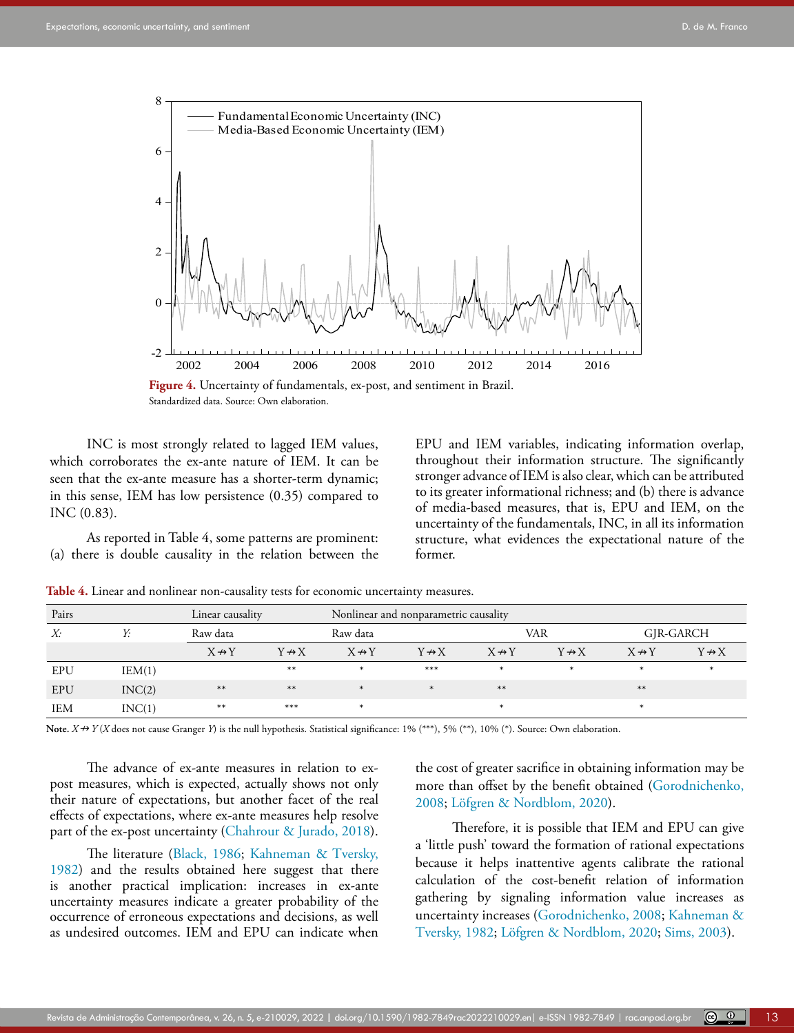

Standardized data. Source: Own elaboration.

INC is most strongly related to lagged IEM values, which corroborates the ex-ante nature of IEM. It can be seen that the ex-ante measure has a shorter-term dynamic; in this sense, IEM has low persistence (0.35) compared to INC (0.83).

As reported in Table 4, some patterns are prominent: (a) there is double causality in the relation between the EPU and IEM variables, indicating information overlap, throughout their information structure. The significantly stronger advance of IEM is also clear, which can be attributed to its greater informational richness; and (b) there is advance of media-based measures, that is, EPU and IEM, on the uncertainty of the fundamentals, INC, in all its information structure, what evidences the expectational nature of the former.

| Pairs      | Linear causality |                    | Nonlinear and nonparametric causality |                    |                       |                       |                       |                       |                   |  |
|------------|------------------|--------------------|---------------------------------------|--------------------|-----------------------|-----------------------|-----------------------|-----------------------|-------------------|--|
| X:         | Y:               | Raw data           |                                       |                    | Raw data              |                       | VAR                   |                       | GIR-GARCH         |  |
|            |                  | $X \nrightarrow Y$ | $Y \leftrightarrow X$                 | $X \nrightarrow Y$ | $Y \leftrightarrow X$ | $X \leftrightarrow Y$ | $Y \leftrightarrow X$ | $X \leftrightarrow Y$ | $Y \rightarrow X$ |  |
| EPU        | IEM(1)           |                    | $**$                                  | $\ast$             | $***$                 | $\ast$                | $\ast$                | $\ast$                | $\ast$            |  |
| <b>EPU</b> | INC(2)           | $**$               | $**$                                  | $\ast$             | $\ast$                | $***$                 |                       | $**$                  |                   |  |
| <b>IEM</b> | INC(1)           | $***$              | ***                                   | ж                  |                       | $\ast$                |                       | $\ast$                |                   |  |

**Table 4.** Linear and nonlinear non-causality tests for economic uncertainty measures.

Note.  $X \nrightarrow Y(X)$  does not cause Granger *Y*) is the null hypothesis. Statistical significance: 1% (\*\*\*), 5% (\*\*), 10% (\*). Source: Own elaboration.

The advance of ex-ante measures in relation to expost measures, which is expected, actually shows not only their nature of expectations, but another facet of the real effects of expectations, where ex-ante measures help resolve part of the ex-post uncertainty ([Chahrour & Jurado, 2018](#page-14-1)).

The literature ([Black, 1986;](#page-14-3) [Kahneman & Tversky,](#page-15-3)  [1982](#page-15-3)) and the results obtained here suggest that there is another practical implication: increases in ex-ante uncertainty measures indicate a greater probability of the occurrence of erroneous expectations and decisions, as well as undesired outcomes. IEM and EPU can indicate when the cost of greater sacrifice in obtaining information may be more than offset by the benefit obtained ([Gorodnichenko,](#page-15-21) [2008;](#page-15-21) Löfgren & Nordblom, 2020).

Therefore, it is possible that IEM and EPU can give a 'little push' toward the formation of rational expectations because it helps inattentive agents calibrate the rational calculation of the cost-benefit relation of information gathering by signaling information value increases as uncertainty increases ([Gorodnichenko, 2008;](#page-15-21) [Kahneman &](#page-15-3) [Tversky, 1982](#page-15-3); Löfgren & Nordblom, 2020; Sims, 2003).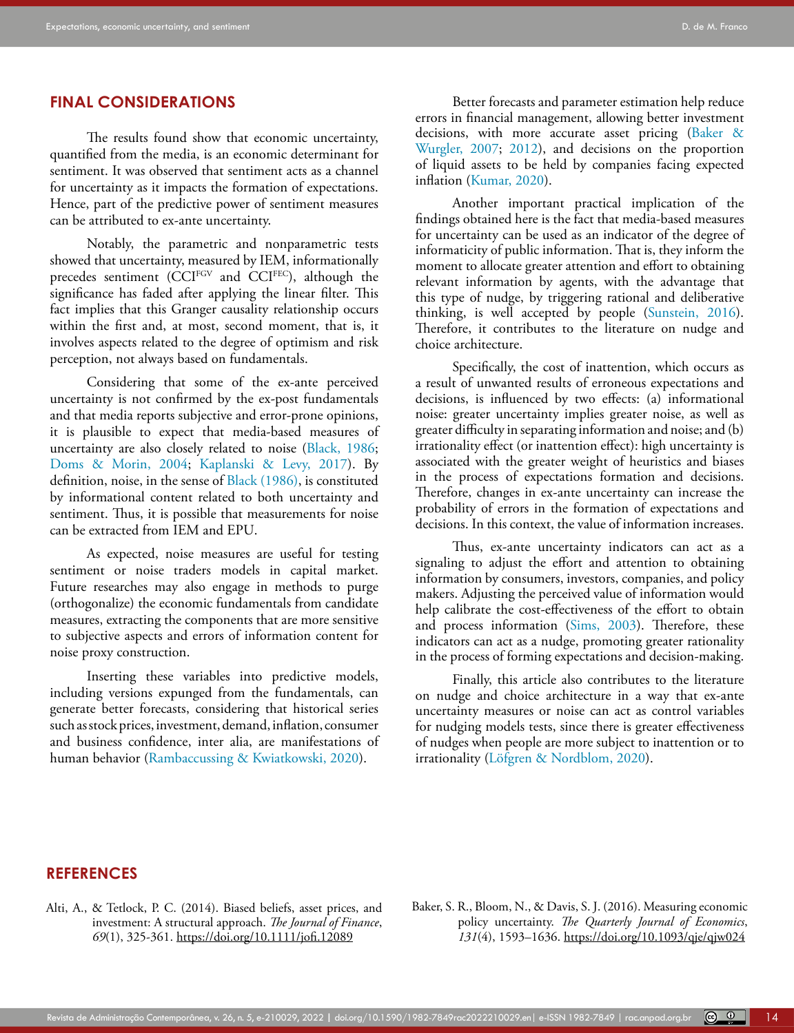# **FINAL CONSIDERATIONS**

The results found show that economic uncertainty, quantified from the media, is an economic determinant for sentiment. It was observed that sentiment acts as a channel for uncertainty as it impacts the formation of expectations. Hence, part of the predictive power of sentiment measures can be attributed to ex-ante uncertainty.

Notably, the parametric and nonparametric tests showed that uncertainty, measured by IEM, informationally precedes sentiment (CCIFGV and CCIFEC), although the significance has faded after applying the linear filter. This fact implies that this Granger causality relationship occurs within the first and, at most, second moment, that is, it involves aspects related to the degree of optimism and risk perception, not always based on fundamentals.

Considering that some of the ex-ante perceived uncertainty is not confirmed by the ex-post fundamentals and that media reports subjective and error-prone opinions, it is plausible to expect that media-based measures of uncertainty are also closely related to noise [\(Black, 1986;](#page-14-3) [Doms & Morin, 2004](#page-14-11); [Kaplanski & Levy, 2017\)](#page-15-10). By definition, noise, in the sense of [Black \(1986\),](#page-14-3) is constituted by informational content related to both uncertainty and sentiment. Thus, it is possible that measurements for noise can be extracted from IEM and EPU.

As expected, noise measures are useful for testing sentiment or noise traders models in capital market. Future researches may also engage in methods to purge (orthogonalize) the economic fundamentals from candidate measures, extracting the components that are more sensitive to subjective aspects and errors of information content for noise proxy construction.

Inserting these variables into predictive models, including versions expunged from the fundamentals, can generate better forecasts, considering that historical series such as stock prices, investment, demand, inflation, consumer and business confidence, inter alia, are manifestations of human behavior (Rambaccussing & Kwiatkowski, 2020).

Better forecasts and parameter estimation help reduce errors in financial management, allowing better investment decisions, with more accurate asset pricing ([Baker &](#page-14-24) [Wurgler, 2007;](#page-14-24) [2012](#page-14-29)), and decisions on the proportion of liquid assets to be held by companies facing expected inflation [\(Kumar, 2020\)](#page-15-29).

Another important practical implication of the findings obtained here is the fact that media-based measures for uncertainty can be used as an indicator of the degree of informaticity of public information. That is, they inform the moment to allocate greater attention and effort to obtaining relevant information by agents, with the advantage that this type of nudge, by triggering rational and deliberative thinking, is well accepted by people (Sunstein, 2016). Therefore, it contributes to the literature on nudge and choice architecture.

Specifically, the cost of inattention, which occurs as a result of unwanted results of erroneous expectations and decisions, is influenced by two effects: (a) informational noise: greater uncertainty implies greater noise, as well as greater difficulty in separating information and noise; and (b) irrationality effect (or inattention effect): high uncertainty is associated with the greater weight of heuristics and biases in the process of expectations formation and decisions. Therefore, changes in ex-ante uncertainty can increase the probability of errors in the formation of expectations and decisions. In this context, the value of information increases.

Thus, ex-ante uncertainty indicators can act as a signaling to adjust the effort and attention to obtaining information by consumers, investors, companies, and policy makers. Adjusting the perceived value of information would help calibrate the cost-effectiveness of the effort to obtain and process information (Sims, 2003). Therefore, these indicators can act as a nudge, promoting greater rationality in the process of forming expectations and decision-making.

Finally, this article also contributes to the literature on nudge and choice architecture in a way that ex-ante uncertainty measures or noise can act as control variables for nudging models tests, since there is greater effectiveness of nudges when people are more subject to inattention or to irrationality (Löfgren & Nordblom, 2020).

# **REFERENCES**

<span id="page-13-1"></span>Alti, A., & Tetlock, P. C. (2014). Biased beliefs, asset prices, and investment: A structural approach. *The Journal of Finance*, *69*(1), 325-361.<https://doi.org/10.1111/jofi.12089>

<span id="page-13-0"></span>Baker, S. R., Bloom, N., & Davis, S. J. (2016). Measuring economic policy uncertainty. *The Quarterly Journal of Economics*, *131*(4), 1593–1636. <https://doi.org/10.1093/qje/qjw024>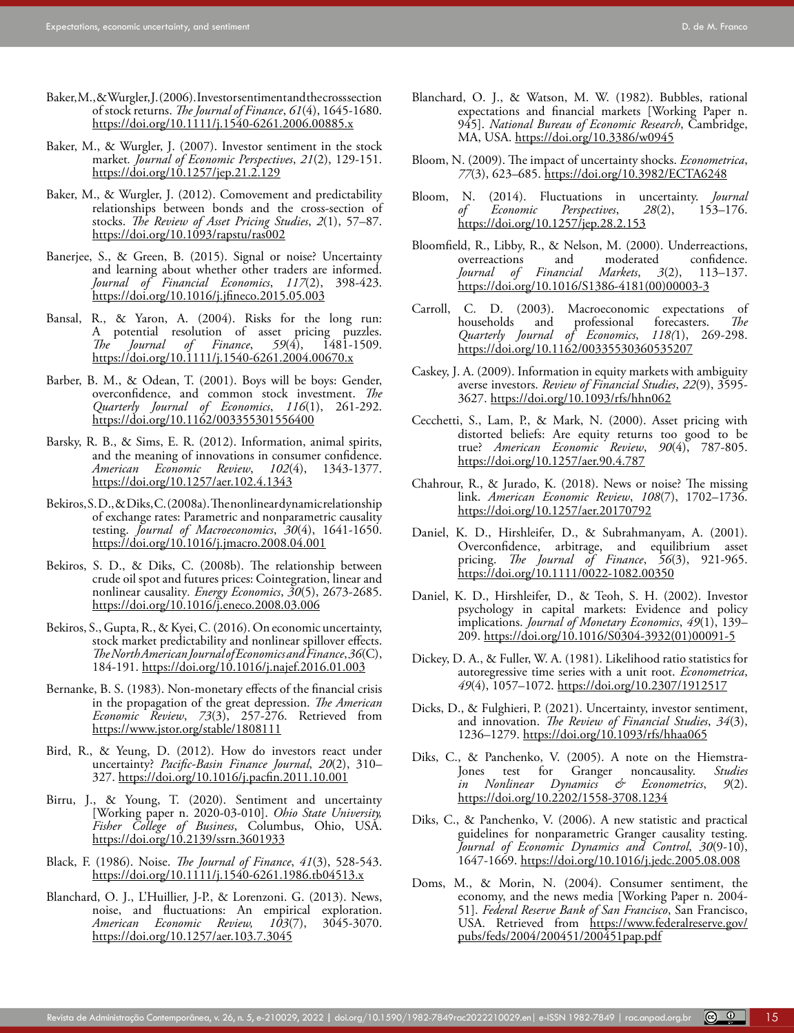- <span id="page-14-23"></span>Baker, M., & Wurgler, J. (2006). Investor sentiment and the cross section of stock returns. *The Journal of Finance*, *61*(4), 1645-1680. <https://doi.org/10.1111/j.1540-6261.2006.00885.x>
- <span id="page-14-24"></span>Baker, M., & Wurgler, J. (2007). Investor sentiment in the stock market*. Journal of Economic Perspectives*, *21*(2), 129-151. <https://doi.org/10.1257/jep.21.2.129>
- <span id="page-14-29"></span>Baker, M., & Wurgler, J. (2012). Comovement and predictability relationships between bonds and the cross-section of stocks. *The Review of Asset Pricing Studies*, *2*(1), 57–87. <https://doi.org/10.1093/rapstu/ras002>
- <span id="page-14-2"></span>Banerjee, S., & Green, B. (2015). Signal or noise? Uncertainty and learning about whether other traders are informed. *Journal of Financial Economics*, *117*(2), 398-423. <https://doi.org/10.1016/j.jfineco.2015.05.003>
- <span id="page-14-19"></span>Bansal, R., & Yaron, A. (2004). Risks for the long run: A potential resolution of asset pricing puzzles.<br>
The Journal of Finance, 59(4), 1481-1509. *Journal* of *Finance*, <https://doi.org/10.1111/j.1540-6261.2004.00670.x>
- <span id="page-14-21"></span>Barber, B. M., & Odean, T. (2001). Boys will be boys: Gender, overconfidence, and common stock investment. *[The](https://econpapers.repec.org/article/oupqjecon/) [Quarterly Journal of Economics](https://econpapers.repec.org/article/oupqjecon/)*, *116*(1), 261-292. [https://doi.org/10.1162/003355301556400](https://doi.org/10.1162/003355301556400 )
- <span id="page-14-0"></span>Barsky, R. B., & Sims, E. R. (2012). Information, animal spirits, and the meaning of innovations in consumer confidence. *American Economic Review*, *102*(4), 1343-1377. [https://doi.org/10.1257/aer.102.4.1343](https://doi.org/10.1257/aer.102.4.1343 )
- <span id="page-14-8"></span>Bekiros, S. D., & Diks, C. (2008a). The nonlinear dynamic relationship of exchange rates: Parametric and nonparametric causality testing. *Journal of Macroeconomics*, *30*(4), 1641-1650. https://doi.org[/10.1016/j.jmacro.2008.04.001](https://www.researchgate.net/deref/http%3A%2F%2Fdx.doi.org%2F10.1016%2Fj.jmacro.2008.04.001?_sg%5B0%5D=reCt456VQ-hrsmo4bVAG8i6WHj13UgPvGz8heCc94ysMT7uEEHa-qQVK8urTDb5SV4wGeQoU-fsQOaXzXnu0gRoTaw.u3zUFqgaNXNs28OR2AMzklyBY8ahH-tNEBzufLlD2w_4RjDsZEUGWpClg05NwlJ3QuM1-roeznEayg2G7USpdQ)
- <span id="page-14-9"></span>Bekiros, S. D., & Diks, C. (2008b). The relationship between crude oil spot and futures prices: Cointegration, linear and nonlinear causality*. Energy Economics*, *30*(5), 2673-2685. <https://doi.org/10.1016/j.eneco.2008.03.006>
- <span id="page-14-26"></span>Bekiros, S., Gupta, R., & Kyei, C. (2016). On economic uncertainty, stock market predictability and nonlinear spillover effects. *[The North American Journal of Economics and Finance](https://ideas.repec.org/s/eee/ecofin.html)*, *36*(C), 184-191. [https://doi.org/10.1016/j.najef.2016.01.003](https://doi.org/10.1016/j.najef.2016.01.003 )
- <span id="page-14-17"></span>Bernanke, B. S. (1983). Non-monetary effects of the financial crisis in the propagation of the great depression. *The [American](https://ideas.repec.org/s/aea/aecrev.html) [Economic Review](https://ideas.repec.org/s/aea/aecrev.html)*, *73*(3), 257-276. Retrieved from [https://www.jstor.org/stable/1808111](https://www.jstor.org/stable/1808111 )
- <span id="page-14-12"></span>Bird, R., & Yeung, D. (2012). How do investors react under uncertainty? *Pacific-Basin Finance Journal*, *20*(2), 310– 327. https://doi.org[/10.1016/j.pacfin.2011.10.001](https://www.researchgate.net/deref/http%3A%2F%2Fdx.doi.org%2F10.1016%2Fj.pacfin.2011.10.001?_sg%5B0%5D=ciAHCmQaJC2rbtDron2sA_sc1VaNWQiq9gcWtVQRRH8dlraafBE-5HIVWu1YQj_RKrf7CgS1deVheIQMMIpPnq7jOw.7vzfGXf0sbJxQCDNxYtUlwIRQlWOWnNdKmcb4y8WdiEgbiBwJoN2pZorj5Ay5K-csdzaDQN9Mqlw7YdSOhwj4g)
- <span id="page-14-20"></span>Birru, J., & Young, T. (2020). Sentiment and uncertainty [Working paper n. 2020-03-010]. *Ohio State University, Fisher College of Business*, Columbus, Ohio, USA. [https://doi.org/10.2139/ssrn.3601933](https://doi.org/10.2139/ssrn.3601933 )
- <span id="page-14-3"></span>Black, F. (1986). Noise. *The Journal of Finance*, *41*(3), 528-543. https://doi.org[/10.1111/j.1540-6261.1986.tb04513.x](https://doi.org/10.1111/j.1540-6261.1986.tb04513.x)
- <span id="page-14-28"></span>Blanchard, O. J., L'Huillier, J-P., & Lorenzoni. G. (2013). News, noise, and fluctuations: An empirical exploration.<br>American Economic Review, 103(7), 3045-3070. *American Economic Review,* [https://doi.org/10.1257/aer.103.7.3045](https://doi.org/10.1257/aer.103.7.3045 )
- <span id="page-14-25"></span>Blanchard, O. J., & Watson, M. W. (1982). Bubbles, rational expectations and financial markets [Working Paper n. 945]. *National Bureau of Economic Research*, Cambridge, MA, USA.<https://doi.org/10.3386/w0945>
- <span id="page-14-18"></span>Bloom, N. (2009). The impact of uncertainty shocks. *Econometrica*, *77*(3), 623–685. <https://doi.org/10.3982/ECTA6248>
- <span id="page-14-16"></span>Bloom, N. (2014). Fluctuations in uncertainty. *Journal Perspectives*, <https://doi.org/10.1257/jep.28.2.153>
- <span id="page-14-22"></span>Bloomfield, R., Libby, R., & Nelson, M. (2000). Underreactions, moderated confidence.<br>  $Markets$ ,  $3(2)$ ,  $113-137$ . *Journal of Financial Markets*, *3*(2), 113–137. [https://doi.org/10.1016/S1386-4181\(00\)00003-3](https://doi.org/10.1016/S1386-4181(00)00003-3 )
- <span id="page-14-10"></span>Carroll, C. D. (2003). Macroeconomic expectations of households and professional forecasters. *The Quarterly Journal of Economics*, *118(*1), 269-298. [https://doi.org/10.1162/00335530360535207](https://doi.org/10.1162/00335530360535207 )
- <span id="page-14-13"></span>Caskey, J. A. (2009). Information in equity markets with ambiguity averse investors. *Review of Financial Studies*, *22*(9), 3595- 3627.<https://doi.org/10.1093/rfs/hhn062>
- <span id="page-14-14"></span>Cecchetti, S., Lam, P., & Mark, N. (2000). Asset pricing with distorted beliefs: Are equity returns too good to be true? *American Economic Review*, *90*(4), 787-805. [https://doi.org/10.1257/aer.90.4.787](https://doi.org/10.1257/aer.90.4.787 )
- <span id="page-14-1"></span>Chahrour, R., & Jurado, K. (2018). News or noise? The missing link. *American Economic Review*, *108*(7), 1702–1736. <https://doi.org/10.1257/aer.20170792>
- <span id="page-14-5"></span>Daniel, K. D., Hirshleifer, D., & Subrahmanyam, A. (2001). Overconfidence, arbitrage, and equilibrium asset pricing. *[The Journal of Finance](https://www.researchgate.net/journal/The-Journal-of-Finance-1540-6261)*, *56*(3), 921-965. https://doi.org[/10.1111/0022-1082.00350](http://dx.doi.org/10.1111/0022-1082.00350)
- <span id="page-14-4"></span>Daniel, K. D., Hirshleifer, D., & Teoh, S. H. (2002). Investor psychology in capital markets: Evidence and policy implications. *Journal of Monetary Economics*, *49*(1), 139– 209. https://doi.org[/10.1016/S0304-3932\(01\)00091-5](https://doi.org/10.1016/S0304-3932(01)00091-5)
- <span id="page-14-27"></span>Dickey, D. A., & Fuller, W. A. (1981). Likelihood ratio statistics for autoregressive time series with a unit root. *Econometrica*, *49*(4), 1057–1072. https://doi.org[/10.2307/1912517](https://doi.org/10.2307/1912517)
- <span id="page-14-15"></span>Dicks, D., & Fulghieri, P. (2021). Uncertainty, investor sentiment, and innovation. *The Review of Financial Studies*, *34*(3), 1236–1279.<https://doi.org/10.1093/rfs/hhaa065>
- <span id="page-14-6"></span>Diks, C., & Panchenko, V. (2005). A note on the Hiemstra-Jones test for Granger noncausality. *Studies in Nonlinear Dynamics & Econometrics*, *9*(2). https://doi.org[/10.2202/1558-3708.1234](https://www.researchgate.net/deref/http%3A%2F%2Fdx.doi.org%2F10.2202%2F1558-3708.1234?_sg%5B0%5D=ktYK06EOwgTX--3acd_jcVF6iYTsQoX411LOO7H-BK-M0ynBKmDKqN6OwKjZYJ4Ybq_y2U8S8G_7hRv1Z3cqTUgQxw.FurkOVGRl0xM2J-cCvug1J4Sf1TkZ7P0PBE7o-rQnCUyD-ASbc-S37yZiezRt_bQqg-cvHFVYUa_Jqr7pOqyLA)
- <span id="page-14-7"></span>Diks, C., & Panchenko, V. (2006). A new statistic and practical guidelines for nonparametric Granger causality testing. *Journal of Economic Dynamics and Control*, *30*(9-10), 1647-1669. <https://doi.org/10.1016/j.jedc.2005.08.008>
- <span id="page-14-11"></span>Doms, M., & Morin, N. (2004). Consumer sentiment, the economy, and the news media [Working Paper n. 2004- 51]. *Federal Reserve Bank of San Francisco*, San Francisco, USA. Retrieved from [https://www.federalreserve.gov/](https://www.federalreserve.gov/pubs/feds/2004/200451/200451pap.pdf) [pubs/feds/2004/200451/200451pap.pdf](https://www.federalreserve.gov/pubs/feds/2004/200451/200451pap.pdf)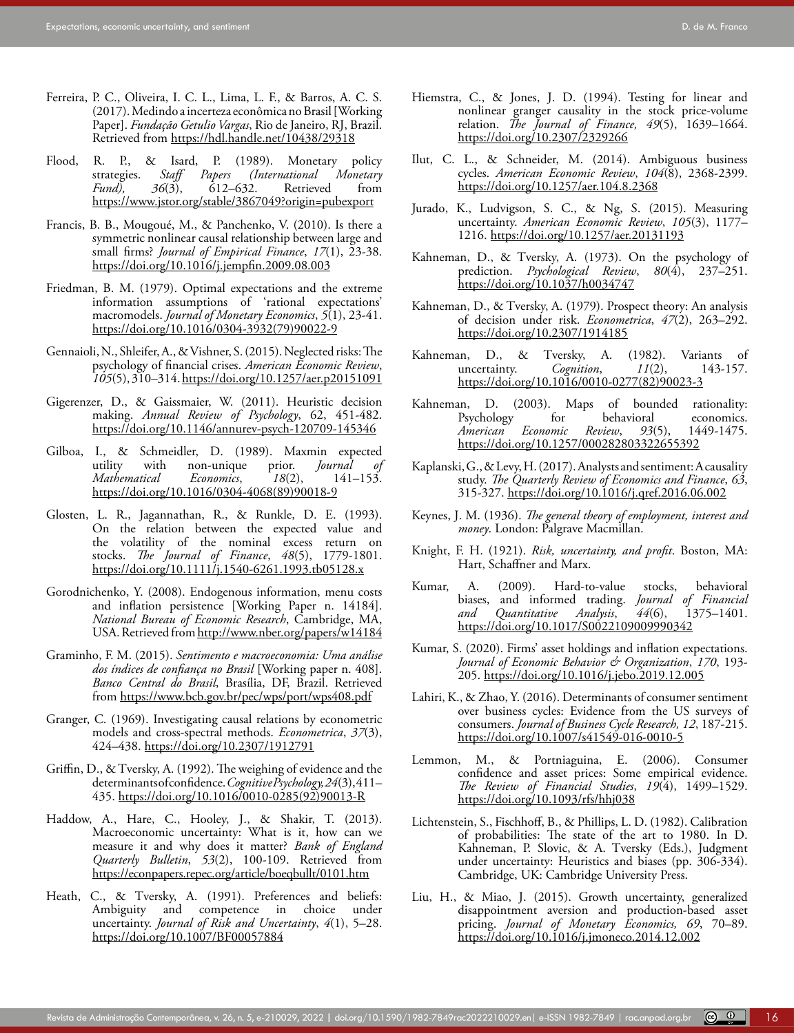- <span id="page-15-24"></span>Ferreira, P. C., Oliveira, I. C. L., Lima, L. F., & Barros, A. C. S. (2017). Medindo a incerteza econômica no Brasil [Working Paper]. *Fundação Getulio Vargas*, Rio de Janeiro, RJ, Brazil. Retrieved from<https://hdl.handle.net/10438/29318>
- <span id="page-15-23"></span>Flood, R. P., & Isard, P. (1989). Monetary policy<br>strategies. Staff Papers (International Monetary strategies. *Staff Papers (International Monetary*   $R$ etrieved [https://www.jstor.org/stable/3867049?origin=pubexport](https://www.jstor.org/stable/3867049?origin=pubexport )
- <span id="page-15-28"></span>Francis, B. B., Mougoué, M., & Panchenko, V. (2010). Is there a symmetric nonlinear causal relationship between large and small firms? *[Journal of Empirical Finance](https://econpapers.repec.org/article/eeeempfin/)*, *17*(1), 23-38. <https://doi.org/10.1016/j.jempfin.2009.08.003>
- <span id="page-15-1"></span>Friedman, B. M. (1979). Optimal expectations and the extreme information assumptions of 'rational expectations' macromodels. *[Journal of Monetary Economics](https://www.sciencedirect.com/science/journal/03043932)*, *5*(1), 23-41. [https://doi.org/10.1016/0304-3932\(79\)90022-9](https://doi.org/10.1016/0304-3932(79)90022-9)
- <span id="page-15-20"></span>Gennaioli, N., Shleifer, A., & Vishner, S. (2015). Neglected risks: The psychology of financial crises. *American Economic Review*, *105*(5), 310–314. [https://doi.org/10.1257/aer.p20151091](https://doi.org/10.1257/aer.p20151091 )
- <span id="page-15-11"></span>Gigerenzer, D., & Gaissmaier, W. (2011). Heuristic decision making. *Annual Review of Psychology*, 62, 451-482. <https://doi.org/10.1146/annurev-psych-120709-145346>
- <span id="page-15-14"></span>Gilboa, I., & Schmeidler, D. (1989). Maxmin expected utility with non-unique prior. *Journal of* non-unique prior. *Journal of*<br>*Economics*, 18(2), 141–153. *Mathematical Economics*, [https://doi.org/10.1016/0304-4068\(89\)90018-9](https://doi.org/10.1016/0304-4068(89)90018-9)
- <span id="page-15-27"></span>Glosten, L. R., Jagannathan, R., & Runkle, D. E. (1993). On the relation between the expected value and the volatility of the nominal excess return on stocks. *The Journal of Finance*, *48*(5), 1779-1801. https://doi.org[/10.1111/j.1540-6261.1993.tb05128.x](https://doi.org/10.1111/j.1540-6261.1993.tb05128.x)
- <span id="page-15-21"></span>Gorodnichenko, Y. (2008). Endogenous information, menu costs and inflation persistence [Working Paper n. 14184]. *National Bureau of Economic Research*, Cambridge, MA, USA. Retrieved from [http://www.nber.org/papers/w14184](http://www.nber.org/papers/w14184 )
- <span id="page-15-25"></span>Graminho, F. M. (2015). *Sentimento e macroeconomia: Uma análise dos índices de confiança no Brasil* [Working paper n. 408]. *Banco Central do Brasil*, Brasília, DF, Brazil. Retrieved from<https://www.bcb.gov.br/pec/wps/port/wps408.pdf>
- <span id="page-15-26"></span>Granger, C. (1969). Investigating causal relations by econometric models and cross-spectral methods. *Econometrica*, *37*(3), 424–438. <https://doi.org/10.2307/1912791>
- <span id="page-15-16"></span>Griffin, D., & Tversky, A. (1992). The weighing of evidence and the determinants of confidence. *Cognitive Psychology, 24*(3), 411– 435. [https://doi.org/10.1016/0010-0285\(92\)90013-R](https://doi.org/10.1016/0010-0285(92)90013-R)
- <span id="page-15-12"></span>Haddow, A., Hare, C., Hooley, J., & Shakir, T. (2013). Macroeconomic uncertainty: What is it, how can we measure it and why does it matter? *[Bank of England](https://econpapers.repec.org/article/boeqbullt/) [Quarterly Bulletin](https://econpapers.repec.org/article/boeqbullt/)*, *53*(2), 100-109. Retrieved from <https://econpapers.repec.org/article/boeqbullt/0101.htm>
- <span id="page-15-17"></span>Heath, C., & Tversky, A. (1991). Preferences and beliefs: Ambiguity and competence in choice under uncertainty. *Journal of Risk and Uncertainty*, *4*(1), 5–28. [https://doi.org/10.1007/BF00057884](https://doi.org/10.1007/BF00057884 )
- <span id="page-15-22"></span>Hiemstra, C., & Jones, J. D. (1994). Testing for linear and nonlinear granger causality in the stock price-volume relation. *The Journal of Finance, 49*(5), 1639–1664. <https://doi.org/10.2307/2329266>
- <span id="page-15-13"></span>Ilut, C. L., & Schneider, M. (2014). Ambiguous business cycles. *American Economic Review*, *104*(8), 2368-2399. [https://doi.org/10.1257/aer.104.8.2368](https://doi.org/10.1257/aer.104.8.2368 )
- <span id="page-15-9"></span>Jurado, K., Ludvigson, S. C., & Ng, S. (2015). Measuring uncertainty. *American Economic Review*, *105*(3), 1177– 1216.<https://doi.org/10.1257/aer.20131193>
- <span id="page-15-2"></span>Kahneman, D., & Tversky, A. (1973). On the psychology of prediction. *Psychological Review*, 80(4), 237-251. [https://doi.org/10.1037/h0034747](https://psycnet.apa.org/doi/10.1037/h0034747)
- <span id="page-15-5"></span>Kahneman, D., & Tversky, A. (1979). Prospect theory: An analysis of decision under risk. *Econometrica*, *47*(2), 263–292. <https://doi.org/10.2307/1914185>
- <span id="page-15-3"></span>Kahneman, D., & Tversky, A. (1982). Variants of uncertainty. Cognition,  $11(2)$ , 143-157. uncertainty. *Cognition*, *11*(2), 143-157. [https://doi.org/10.1016/0010-0277\(82\)90023-3](https://doi.org/10.1016/0010-0277(82)90023-3)
- <span id="page-15-6"></span>Kahneman, D. (2003). Maps of bounded rationality:<br>Psychology for behavioral economics. Psychology for behavioral<br>American Economic Review, 93(5), *American Economic Review*, *93*(5), 1449-1475. [https://doi.org/10.1257/000282803322655392](https://doi.org/10.1257/000282803322655392 )
- <span id="page-15-10"></span>Kaplanski, G., & Levy, H. (2017). Analysts and sentiment: A causality study. *The Quarterly Review of Economics and Finance*, *63*, 315-327. [https://doi.org/10.1016/j.qref.2016.06.002](https://doi.org/10.1016/j.qref.2016.06.002 )
- <span id="page-15-7"></span>Keynes, J. M. (1936). *The general theory of employment, interest and money*. London: Palgrave Macmillan.
- <span id="page-15-8"></span>Knight, F. H. (1921). *Risk, uncertainty, and profit*. Boston, MA: Hart, Schaffner and Marx.
- <span id="page-15-4"></span>Kumar, A. (2009). Hard-to-value stocks, behavioral biases, and informed trading. *Journal of Financial*   $Quantitative$  *Analysis*, <https://doi.org/10.1017/S0022109009990342>
- <span id="page-15-29"></span>Kumar, S. (2020). Firms' asset holdings and inflation expectations. *Journal of Economic Behavior & Organization*, *170*, 193- 205.<https://doi.org/10.1016/j.jebo.2019.12.005>
- <span id="page-15-0"></span>Lahiri, K., & Zhao, Y. (2016). Determinants of consumer sentiment over business cycles: Evidence from the US surveys of consumers. *Journal of Business Cycle Research, 12*, 187-215. <https://doi.org/10.1007/s41549-016-0010-5>
- <span id="page-15-19"></span>Lemmon, M., & Portniaguina, E. (2006). Consumer confidence and asset prices: Some empirical evidence. *The Review of Financial Studies*, *19*(4), 1499–1529. <https://doi.org/10.1093/rfs/hhj038>
- <span id="page-15-18"></span>Lichtenstein, S., Fischhoff, B., & Phillips, L. D. (1982). Calibration of probabilities: The state of the art to 1980. In D. Kahneman, P. Slovic, & A. Tversky (Eds.), Judgment under uncertainty: Heuristics and biases (pp. 306-334). Cambridge, UK: Cambridge University Press.
- <span id="page-15-15"></span>Liu, H., & Miao, J. (2015). Growth uncertainty, generalized disappointment aversion and production-based asset pricing. *Journal of Monetary Economics, 69*, 70–89. <https://doi.org/10.1016/j.jmoneco.2014.12.002>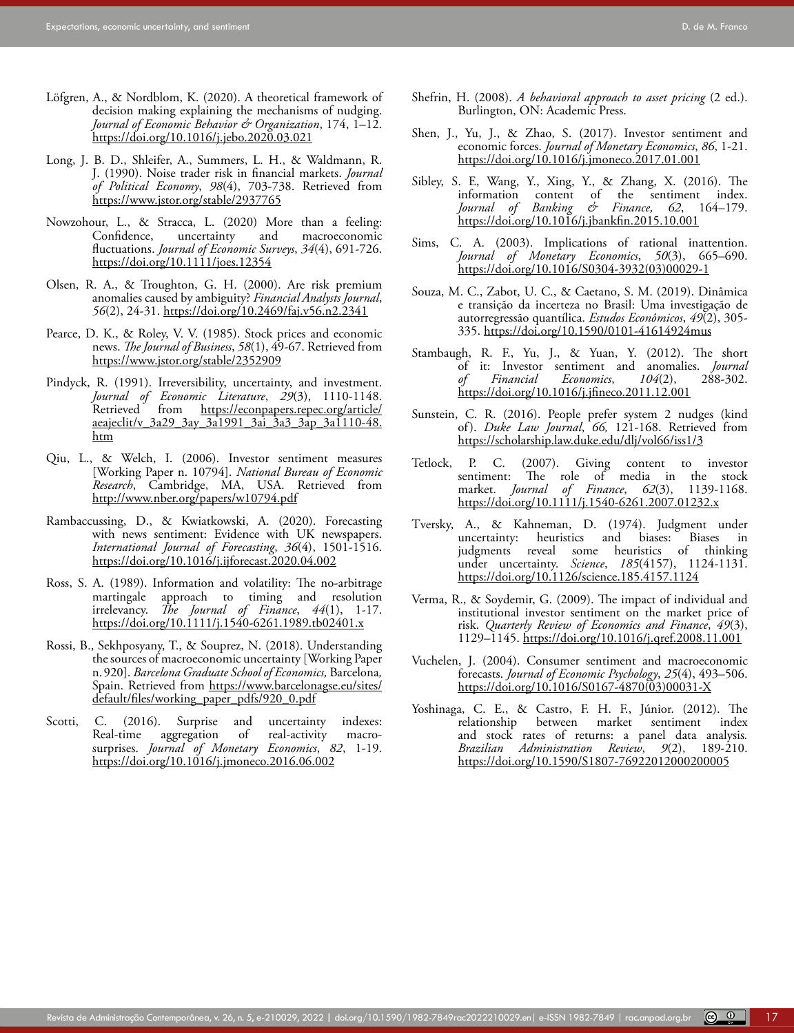- Löfgren, A., & Nordblom, K. (2020). A theoretical framework of decision making explaining the mechanisms of nudging. *Journal of Economic Behavior & Organization*, 174, 1–12. <https://doi.org/10.1016/j.jebo.2020.03.021>
- <span id="page-16-0"></span>Long, J. B. D., Shleifer, A., Summers, L. H., & Waldmann, R. J. (1990). Noise trader risk in financial markets. *Journal of Political Economy*, *98*(4), 703-738. Retrieved from [https://www.jstor.org/stable/2937765](https://www.jstor.org/stable/2937765 )
- Nowzohour, L., & Stracca, L. (2020) More than a feeling: macroeconomic fluctuations. *Journal of Economic Surveys*, *34*(4), 691-726. [https://doi.org/10.1111/joes.12354](https://doi.org/10.1111/joes.12354 )
- Olsen, R. A., & Troughton, G. H. (2000). Are risk premium anomalies caused by ambiguity? *Financial Analysts Journal*, *56*(2), 24-31.<https://doi.org/10.2469/faj.v56.n2.2341>
- Pearce, D. K., & Roley, V. V. (1985). Stock prices and economic news. *The Journal of Business*, *58*(1), 49-67. Retrieved from <https://www.jstor.org/stable/2352909>
- Pindyck, R. (1991). Irreversibility, uncertainty, and investment. *[Journal of Economic Literature](https://econpapers.repec.org/article/aeajeclit/)*, *29*(3), 1110-1148. [https://econpapers.repec.org/article/](https://econpapers.repec.org/article/aeajeclit/v_3a29_3ay_3a1991_3ai_3a3_3ap_3a1110-48.htm ) [aeajeclit/v\\_3a29\\_3ay\\_3a1991\\_3ai\\_3a3\\_3ap\\_3a1110-48.](https://econpapers.repec.org/article/aeajeclit/v_3a29_3ay_3a1991_3ai_3a3_3ap_3a1110-48.htm ) [htm](https://econpapers.repec.org/article/aeajeclit/v_3a29_3ay_3a1991_3ai_3a3_3ap_3a1110-48.htm )
- Qiu, L., & Welch, I. (2006). Investor sentiment measures [Working Paper n. 10794]. *National Bureau of Economic Research*, Cambridge, MA, USA. Retrieved from [http://www.nber.org/papers/w10794.pdf](http://www.nber.org/papers/w10794.pdf )
- Rambaccussing, D., & Kwiatkowski, A. (2020). Forecasting with news sentiment: Evidence with UK newspapers. *International Journal of Forecasting*, *36*(4), 1501-1516. <https://doi.org/10.1016/j.ijforecast.2020.04.002>
- Ross, S. A. (1989). Information and volatility: The no-arbitrage martingale approach to timing and resolution irrelevancy. *The Journal of Finance*, *44*(1), 1-17. <https://doi.org/10.1111/j.1540-6261.1989.tb02401.x>
- Rossi, B., Sekhposyany, T., & Souprez, N. (2018). Understanding the sources of macroeconomic uncertainty [Working Paper n.920]. *Barcelona Graduate School of Economics,* Barcelona*,* Spain. Retrieved from [https://www.barcelonagse.eu/sites/](https://www.barcelonagse.eu/sites/default/files/working_paper_pdfs/920_0.pdf) [default/files/working\\_paper\\_pdfs/920\\_0.pdf](https://www.barcelonagse.eu/sites/default/files/working_paper_pdfs/920_0.pdf)
- Scotti, C. (2016). Surprise and uncertainty indexes: Real-time aggregation of real-activity macrosurprises. *Journal of Monetary Economics*, *82*, 1-19. <https://doi.org/10.1016/j.jmoneco.2016.06.002>
- Shen, J., Yu, J., & Zhao, S. (2017). Investor sentiment and economic forces. *Journal of Monetary Economics*, *86*, 1-21. <https://doi.org/10.1016/j.jmoneco.2017.01.001>
- Sibley, S. E, Wang, Y., Xing, Y., & Zhang, X. (2016). The information content of the sentiment index. *Journal of Banking & Finance, 62*, 164–179. [https://doi.org/10.1016/j.jbankfin.2015.10.001](https://doi.org/10.1016/j.jbankfin.2015.10.001 )
- Sims, C. A. (2003). Implications of rational inattention. *Journal of Monetary Economics*, *50*(3), 665–690. https://doi.org[/10.1016/S0304-3932\(03\)00029-1](https://doi.org/10.1016/S0304-3932(03)00029-1)
- Souza, M. C., Zabot, U. C., & Caetano, S. M. (2019). Dinâmica e transição da incerteza no Brasil: Uma investigação de autorregressão quantílica. *Estudos Econômicos*, *49*(2), 305- 335. [https://doi.org/10.1590/0101-41614924mus](http://dx.doi.org/10.1590/0101-41614924mus)
- Stambaugh, R. F., Yu, J., & Yuan, Y. (2012). The short of it: Investor sentiment and anomalies. *[Journal](https://www.sciencedirect.com/science/journal/0304405X)*   $Economics$ <https://doi.org/10.1016/j.jfineco.2011.12.001>
- Sunstein, C. R. (2016). People prefer system 2 nudges (kind of). *Duke Law Journal*, *66,* 121-168. Retrieved from [https://scholarship.law.duke.edu/dlj/vol66/iss1/3](https://scholarship.law.duke.edu/dlj/vol66/iss1/3 )
- Tetlock, P. C. (2007). Giving content to investor sentiment: The role of media in the stock market. *Journal of Finance*, *62*(3), 1139-1168. <https://doi.org/10.1111/j.1540-6261.2007.01232.x>
- Tversky, A., & Kahneman, D. (1974). Judgment under uncertainty: heuristics and biases: judgments reveal some heuristics of thinking under uncertainty. *Science*, *185*(4157), 1124-1131. [https://doi.org/10.1126/science.185.4157.1124](https://doi.org/10.1126/science.185.4157.1124 )
- Verma, R., & Soydemir, G. (2009). The impact of individual and institutional investor sentiment on the market price of risk. *Quarterly Review of Economics and Finance*, *49*(3), 1129–1145.<https://doi.org/10.1016/j.qref.2008.11.001>
- Vuchelen, J. (2004). Consumer sentiment and macroeconomic forecasts. *Journal of Economic Psychology*, *25*(4), 493–506. [https://doi.org/10.1016/S0167-4870\(03\)00031-X](https://doi.org/10.1016/S0167-4870(03)00031-X)
- Yoshinaga, C. E., & Castro, F. H. F., Júnior. (2012). The relationship between market sentiment index and stock rates of returns: a panel data analysis*. Brazilian Administration Review*, *9*(2), 189-210. [https://doi.org/10.1590/S1807-76922012000200005](https://doi.org/10.1590/S1807-76922012000200005 )